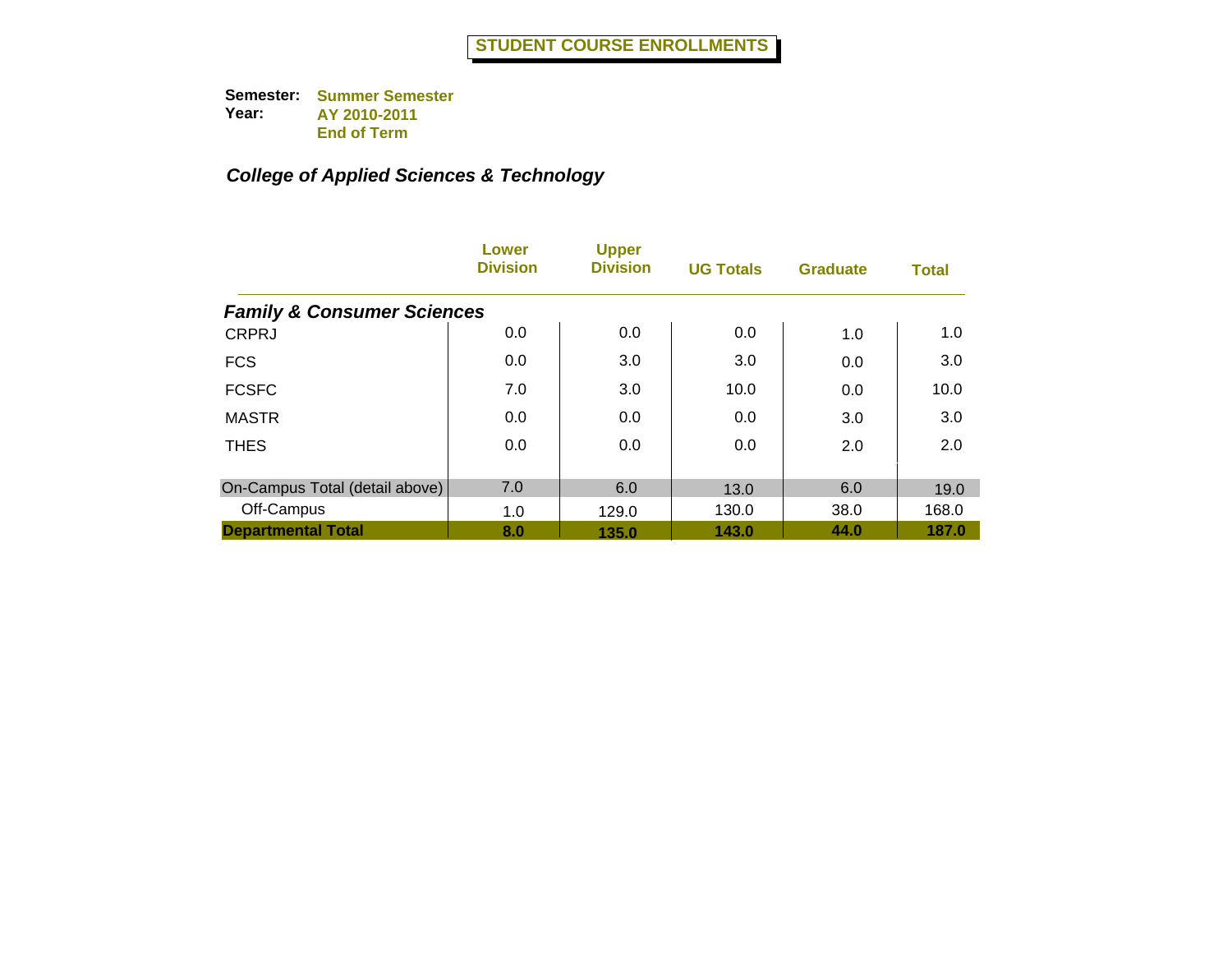|                                       | Lower<br><b>Division</b> | <b>Upper</b><br><b>Division</b> | <b>UG Totals</b> | <b>Graduate</b> | <b>Total</b> |
|---------------------------------------|--------------------------|---------------------------------|------------------|-----------------|--------------|
| <b>Family &amp; Consumer Sciences</b> |                          |                                 |                  |                 |              |
| <b>CRPRJ</b>                          | 0.0                      | 0.0                             | 0.0              | 1.0             | 1.0          |
| <b>FCS</b>                            | 0.0                      | 3.0                             | 3.0              | 0.0             | 3.0          |
| <b>FCSFC</b>                          | 7.0                      | 3.0                             | 10.0             | 0.0             | 10.0         |
| <b>MASTR</b>                          | 0.0                      | 0.0                             | 0.0              | 3.0             | 3.0          |
| <b>THES</b>                           | 0.0                      | 0.0                             | 0.0              | 2.0             | 2.0          |
| On-Campus Total (detail above)        | 7.0                      | 6.0                             | 13.0             | 6.0             | 19.0         |
| Off-Campus                            | 1.0                      | 129.0                           | 130.0            | 38.0            | 168.0        |
| <b>Departmental Total</b>             | 8.0                      | 135.0                           | 143.0            | 44.0            | 187.0        |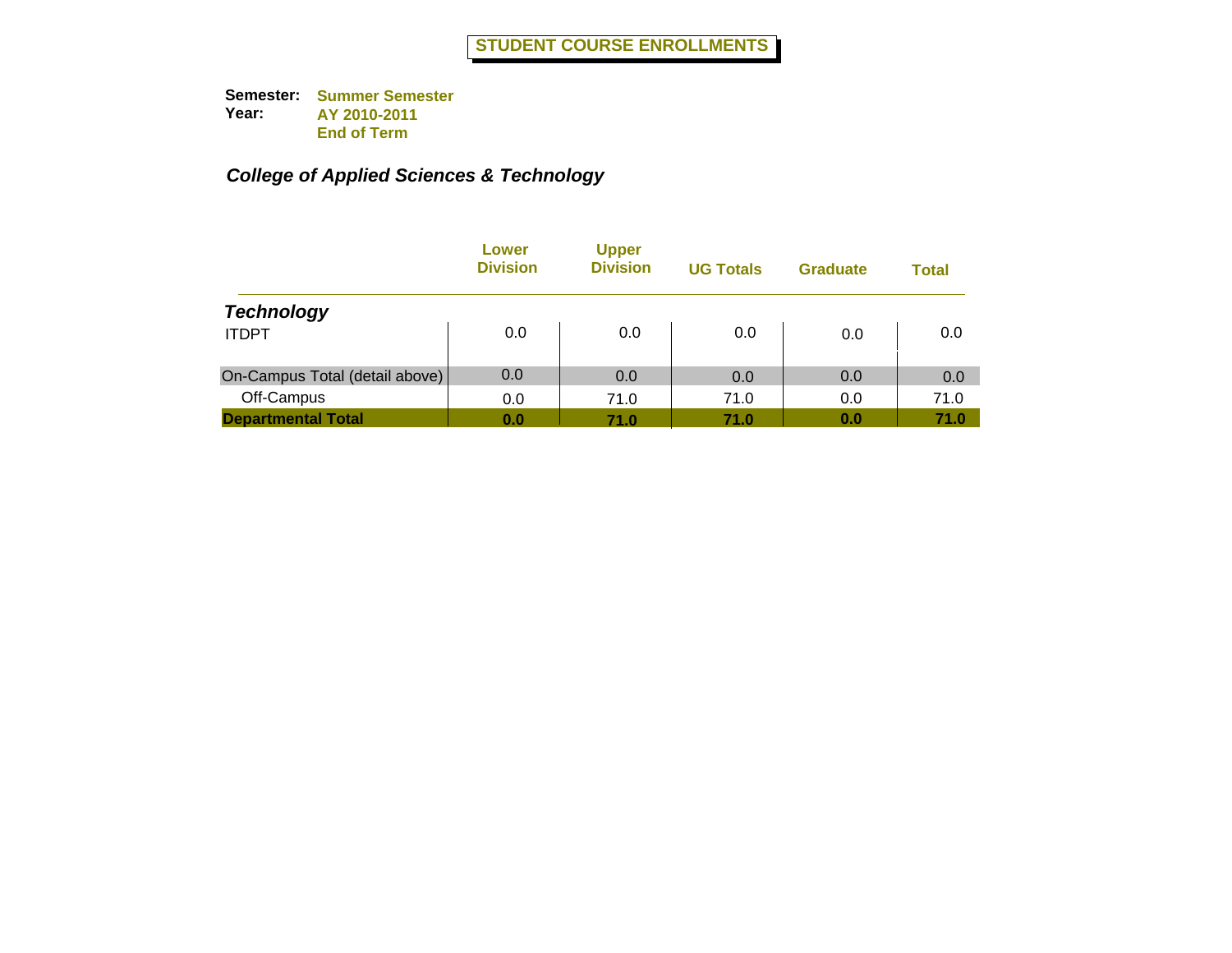|                                | Lower<br><b>Division</b> | <b>Upper</b><br><b>Division</b> | <b>UG Totals</b> | <b>Graduate</b> | Total |
|--------------------------------|--------------------------|---------------------------------|------------------|-----------------|-------|
| <b>Technology</b>              |                          |                                 |                  |                 |       |
| <b>ITDPT</b>                   | 0.0                      | 0.0                             | 0.0              | 0.0             | 0.0   |
| On-Campus Total (detail above) | 0.0                      | 0.0                             | 0.0              | 0.0             | 0.0   |
| Off-Campus                     | 0.0                      | 71.0                            | 71.0             | 0.0             | 71.0  |
| <b>Departmental Total</b>      | 0.0                      | 71.0                            | 71.0             | 0.0             | 71.0  |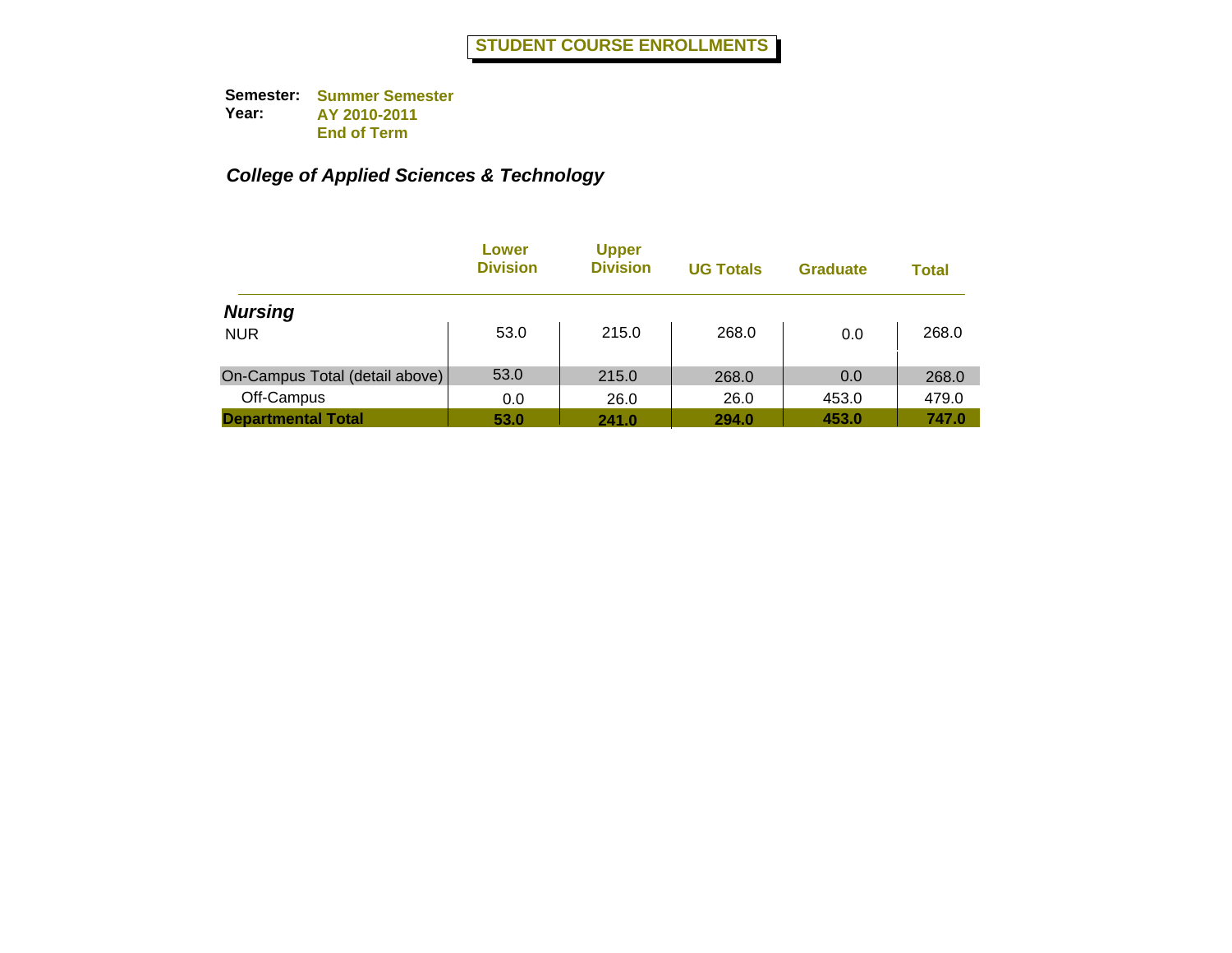|                                | Lower<br><b>Division</b> | <b>Upper</b><br><b>Division</b> | <b>UG Totals</b> | <b>Graduate</b> | Total |
|--------------------------------|--------------------------|---------------------------------|------------------|-----------------|-------|
| <b>Nursing</b>                 |                          |                                 |                  |                 |       |
| <b>NUR</b>                     | 53.0                     | 215.0                           | 268.0            | 0.0             | 268.0 |
| On-Campus Total (detail above) | 53.0                     | 215.0                           | 268.0            | 0.0             | 268.0 |
| Off-Campus                     | 0.0                      | 26.0                            | 26.0             | 453.0           | 479.0 |
| <b>Departmental Total</b>      | 53.0                     | 241.0                           | 294.0            | 453.0           | 747.0 |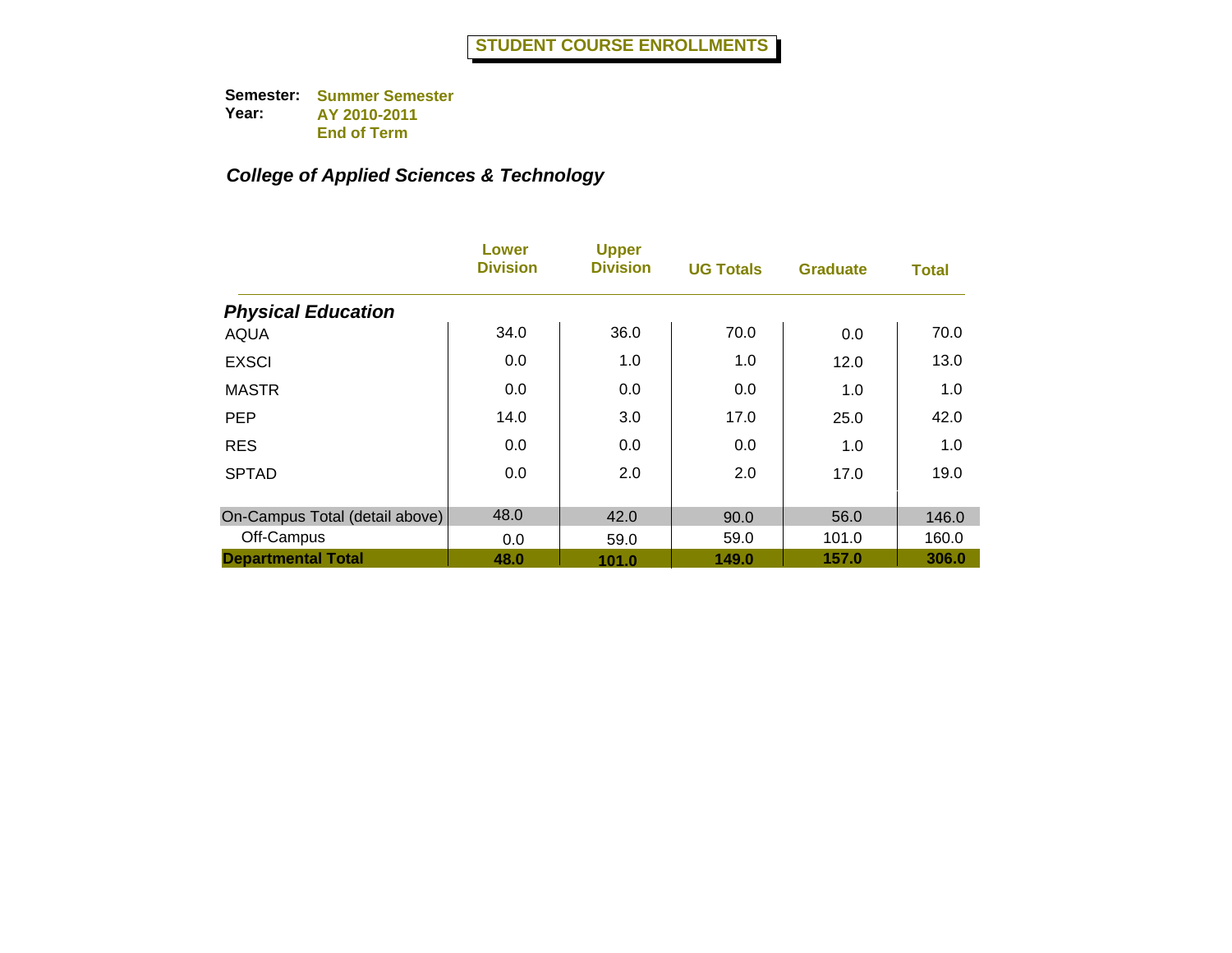|                                | Lower<br><b>Division</b> | <b>Upper</b><br><b>Division</b> | <b>UG Totals</b> | <b>Graduate</b> | <b>Total</b> |
|--------------------------------|--------------------------|---------------------------------|------------------|-----------------|--------------|
| <b>Physical Education</b>      |                          |                                 |                  |                 |              |
| <b>AQUA</b>                    | 34.0                     | 36.0                            | 70.0             | 0.0             | 70.0         |
| <b>EXSCI</b>                   | 0.0                      | 1.0                             | 1.0              | 12.0            | 13.0         |
| <b>MASTR</b>                   | 0.0                      | 0.0                             | 0.0              | 1.0             | 1.0          |
| <b>PEP</b>                     | 14.0                     | 3.0                             | 17.0             | 25.0            | 42.0         |
| <b>RES</b>                     | 0.0                      | 0.0                             | 0.0              | 1.0             | 1.0          |
| <b>SPTAD</b>                   | 0.0                      | 2.0                             | 2.0              | 17.0            | 19.0         |
| On-Campus Total (detail above) | 48.0                     | 42.0                            | 90.0             | 56.0            | 146.0        |
| Off-Campus                     | 0.0                      | 59.0                            | 59.0             | 101.0           | 160.0        |
| <b>Departmental Total</b>      | 48.0                     | 101.0                           | 149.0            | 157.0           | 306.0        |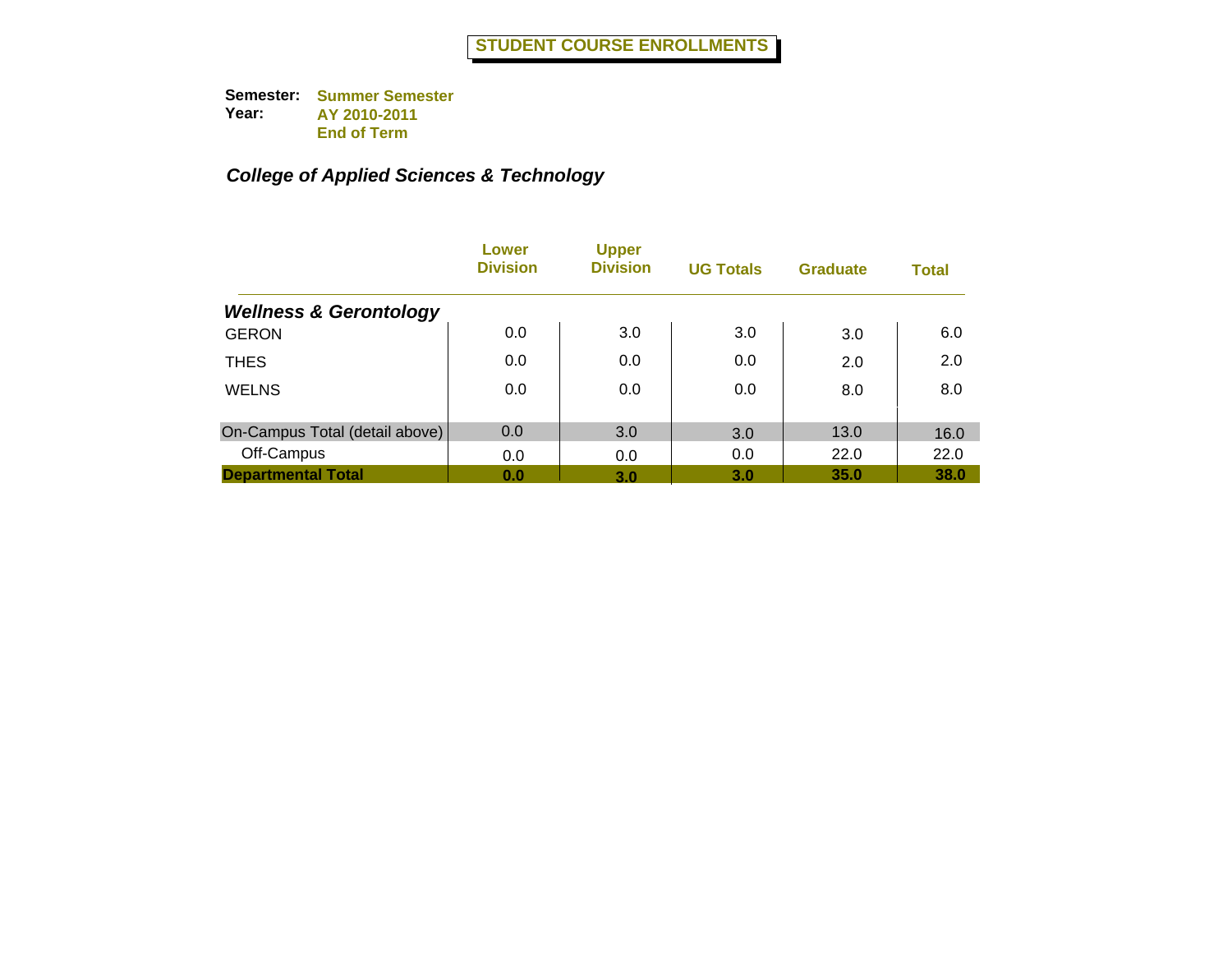|                                   | Lower<br><b>Division</b> | <b>Upper</b><br><b>Division</b> | <b>UG Totals</b> | <b>Graduate</b> | <b>Total</b> |
|-----------------------------------|--------------------------|---------------------------------|------------------|-----------------|--------------|
| <b>Wellness &amp; Gerontology</b> |                          |                                 |                  |                 |              |
| <b>GERON</b>                      | 0.0                      | 3.0                             | 3.0              | 3.0             | 6.0          |
| <b>THES</b>                       | 0.0                      | 0.0                             | 0.0              | 2.0             | 2.0          |
| <b>WELNS</b>                      | 0.0                      | 0.0                             | 0.0              | 8.0             | 8.0          |
| On-Campus Total (detail above)    | 0.0                      | 3.0                             | 3.0              | 13.0            | 16.0         |
| Off-Campus                        | 0.0                      | 0.0                             | 0.0              | 22.0            | 22.0         |
| <b>Departmental Total</b>         | 0.0                      | 3.0                             | 3.0              | 35.0            | 38.0         |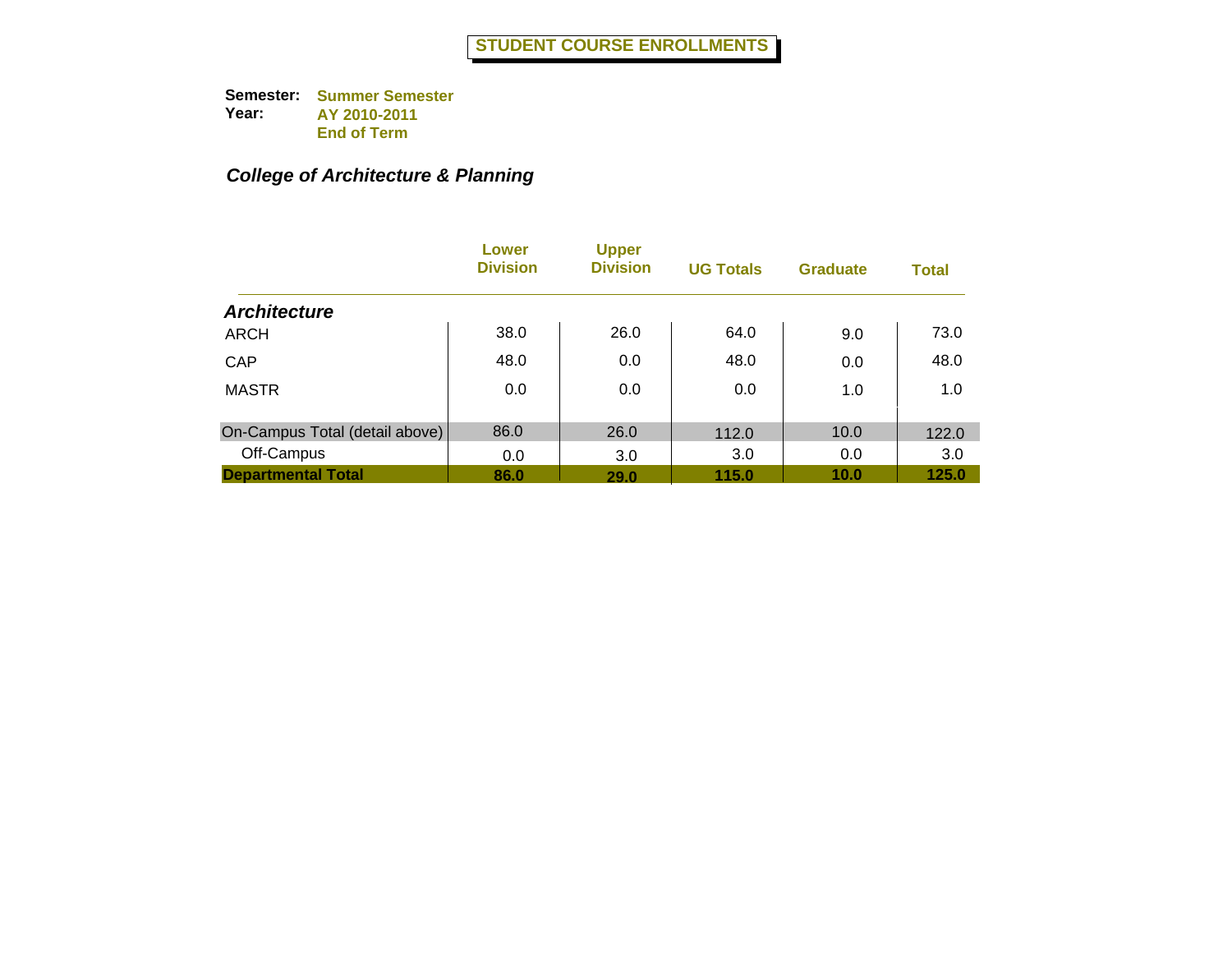## *College of Architecture & Planning*

|                                | Lower<br><b>Division</b> | <b>Upper</b><br><b>Division</b> | <b>UG Totals</b> | <b>Graduate</b> | <b>Total</b> |
|--------------------------------|--------------------------|---------------------------------|------------------|-----------------|--------------|
| <b>Architecture</b>            |                          |                                 |                  |                 |              |
| ARCH                           | 38.0                     | 26.0                            | 64.0             | 9.0             | 73.0         |
| CAP                            | 48.0                     | 0.0                             | 48.0             | 0.0             | 48.0         |
| <b>MASTR</b>                   | 0.0                      | 0.0                             | 0.0              | 1.0             | 1.0          |
| On-Campus Total (detail above) | 86.0                     | 26.0                            | 112.0            | 10.0            | 122.0        |
| Off-Campus                     | 0.0                      | 3.0                             | 3.0              | 0.0             | 3.0          |
| <b>Departmental Total</b>      | 86.0                     | 29.0                            | 115.0            | 10.0            | 125.0        |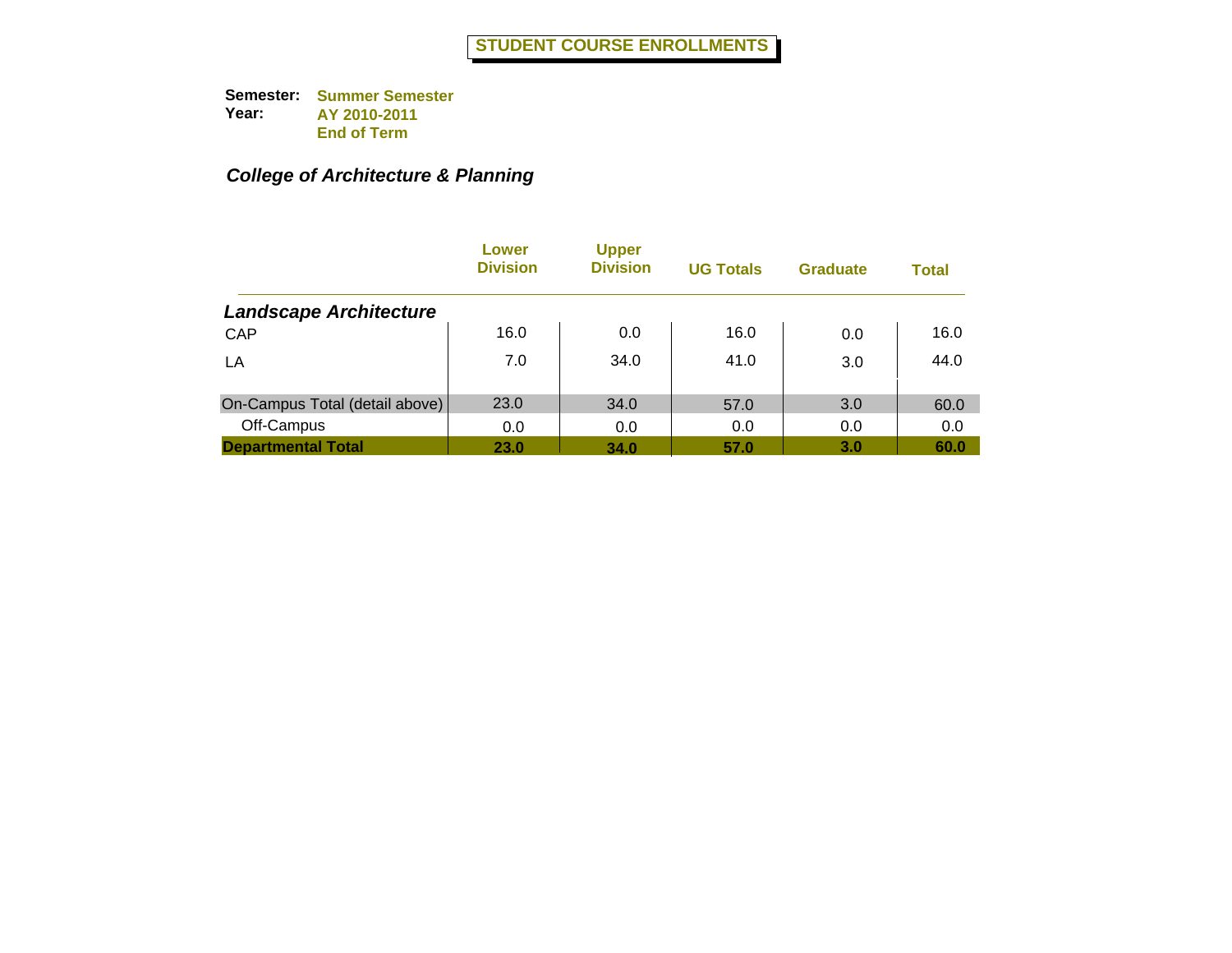## *College of Architecture & Planning*

|                                | Lower<br><b>Division</b> | <b>Upper</b><br><b>Division</b> | <b>UG Totals</b> | <b>Graduate</b> | <b>Total</b> |
|--------------------------------|--------------------------|---------------------------------|------------------|-----------------|--------------|
| <b>Landscape Architecture</b>  |                          |                                 |                  |                 |              |
| CAP                            | 16.0                     | 0.0                             | 16.0             | 0.0             | 16.0         |
| LA                             | 7.0                      | 34.0                            | 41.0             | 3.0             | 44.0         |
| On-Campus Total (detail above) | 23.0                     | 34.0                            | 57.0             | 3.0             | 60.0         |
| Off-Campus                     | 0.0                      | 0.0                             | 0.0              | 0.0             | 0.0          |
| <b>Departmental Total</b>      | 23.0                     | 34.0                            | 57.0             | 3.0             | 60.0         |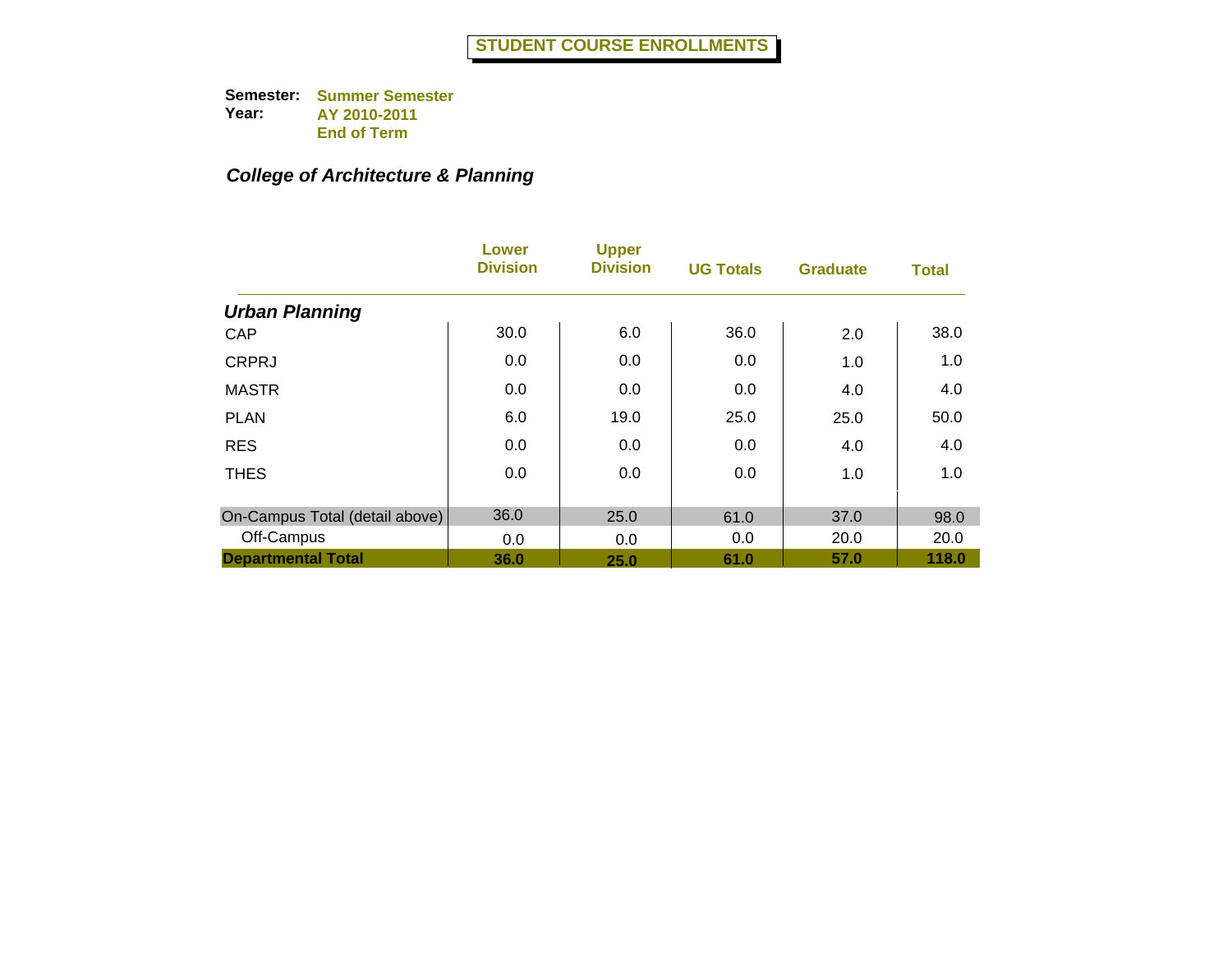## *College of Architecture & Planning*

|                                | Lower<br><b>Division</b> | <b>Upper</b><br><b>Division</b> | <b>UG Totals</b> | <b>Graduate</b> | <b>Total</b> |
|--------------------------------|--------------------------|---------------------------------|------------------|-----------------|--------------|
| <b>Urban Planning</b>          |                          |                                 |                  |                 |              |
| CAP                            | 30.0                     | 6.0                             | 36.0             | 2.0             | 38.0         |
| <b>CRPRJ</b>                   | 0.0                      | 0.0                             | 0.0              | 1.0             | 1.0          |
| <b>MASTR</b>                   | 0.0                      | 0.0                             | 0.0              | 4.0             | 4.0          |
| <b>PLAN</b>                    | 6.0                      | 19.0                            | 25.0             | 25.0            | 50.0         |
| <b>RES</b>                     | 0.0                      | 0.0                             | 0.0              | 4.0             | 4.0          |
| <b>THES</b>                    | 0.0                      | 0.0                             | 0.0              | 1.0             | 1.0          |
| On-Campus Total (detail above) | 36.0                     | 25.0                            | 61.0             | 37.0            | 98.0         |
| Off-Campus                     | 0.0                      | 0.0                             | 0.0              | 20.0            | 20.0         |
| <b>Departmental Total</b>      | 36.0                     | 25.0                            | 61.0             | 57.0            | 118.0        |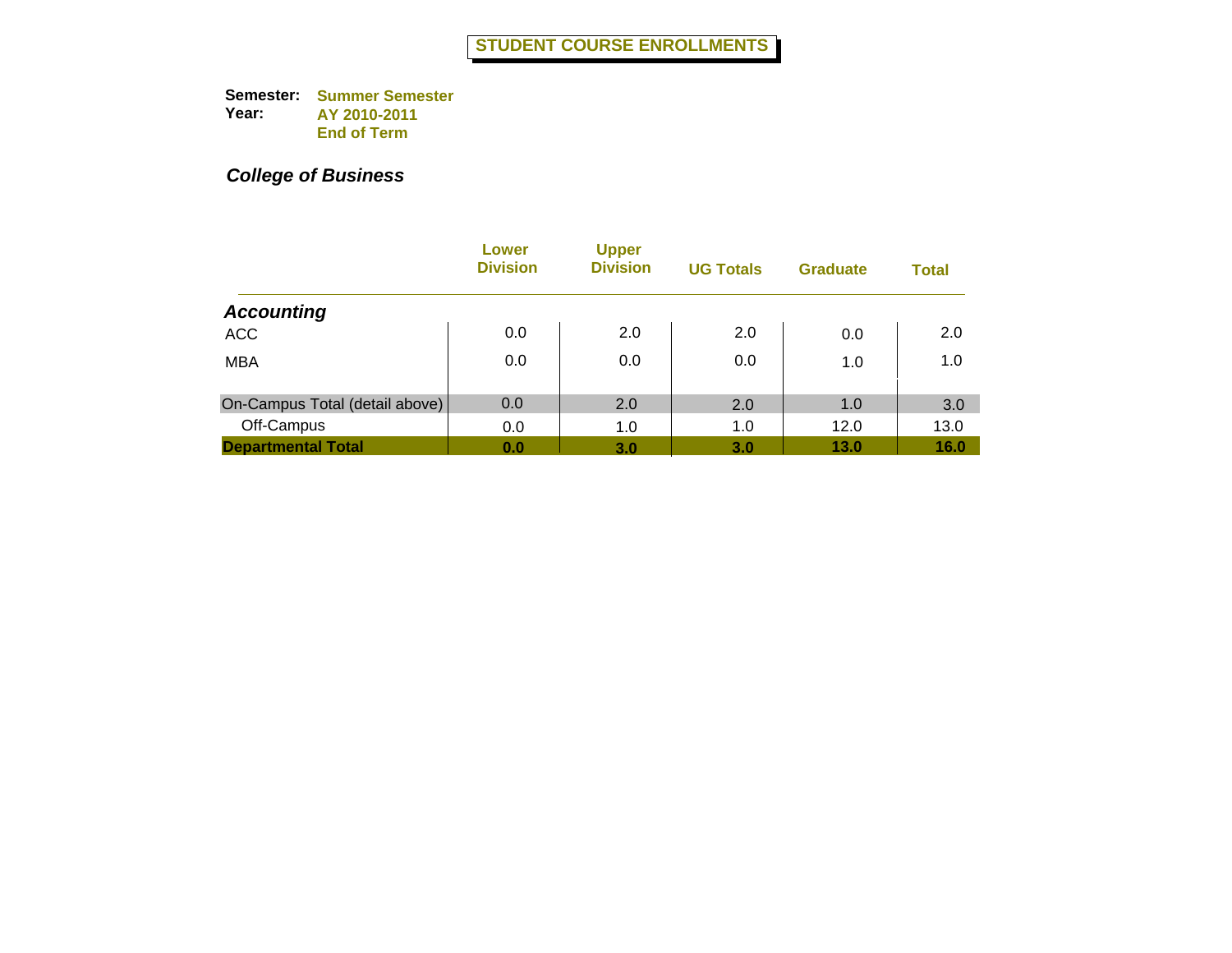|                                | Lower<br><b>Division</b> | <b>Upper</b><br><b>Division</b> | <b>UG Totals</b> | <b>Graduate</b> | <b>Total</b> |
|--------------------------------|--------------------------|---------------------------------|------------------|-----------------|--------------|
| <b>Accounting</b>              |                          |                                 |                  |                 |              |
| <b>ACC</b>                     | 0.0                      | 2.0                             | 2.0              | 0.0             | 2.0          |
| <b>MBA</b>                     | 0.0                      | 0.0                             | 0.0              | 1.0             | 1.0          |
| On-Campus Total (detail above) | 0.0                      | 2.0                             | 2.0              | 1.0             | 3.0          |
| Off-Campus                     | 0.0                      | 1.0                             | 1.0              | 12.0            | 13.0         |
| <b>Departmental Total</b>      | 0.0                      | 3.0                             | 3.0              | 13.0            | 16.0         |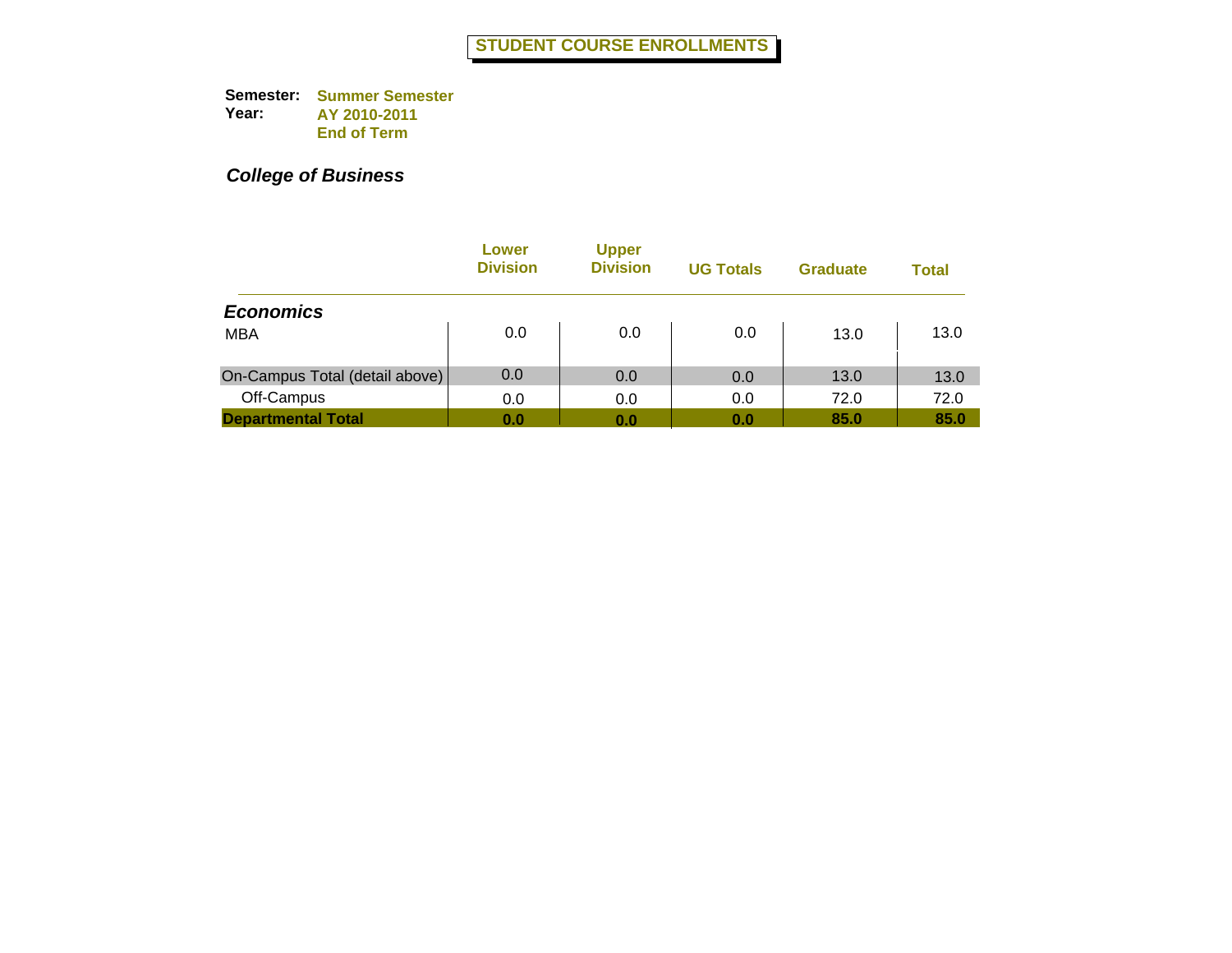|                                | Lower<br><b>Division</b> | <b>Upper</b><br><b>Division</b> | <b>UG Totals</b> | <b>Graduate</b> | <b>Total</b> |
|--------------------------------|--------------------------|---------------------------------|------------------|-----------------|--------------|
| <b>Economics</b>               |                          |                                 |                  |                 |              |
| <b>MBA</b>                     | 0.0                      | 0.0                             | 0.0              | 13.0            | 13.0         |
| On-Campus Total (detail above) | 0.0                      | 0.0                             | 0.0              | 13.0            | 13.0         |
| Off-Campus                     | 0.0                      | 0.0                             | 0.0              | 72.0            | 72.0         |
| <b>Departmental Total</b>      | 0.0                      | 0.0                             | 0.0              | 85.0            | 85.0         |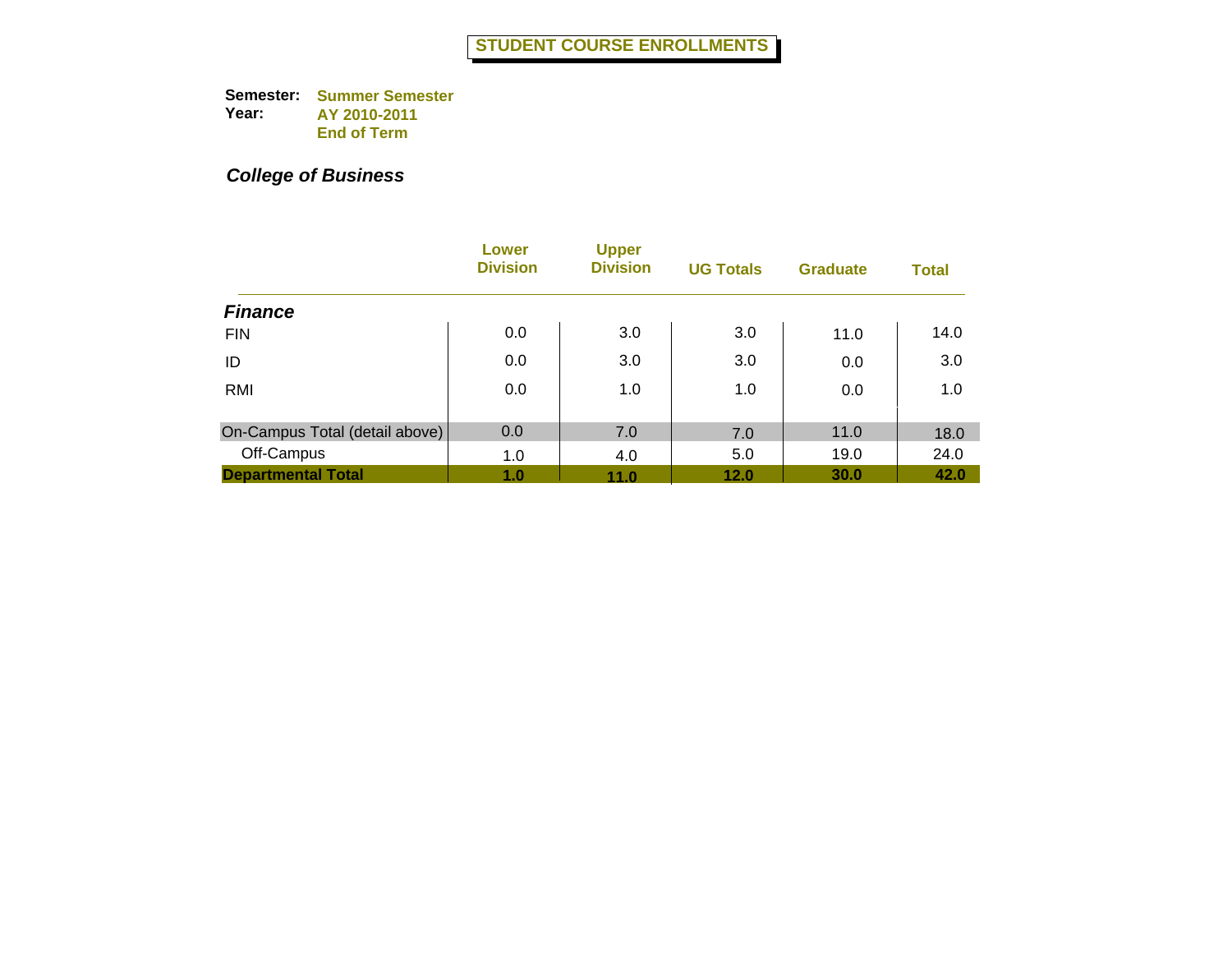|                                | Lower<br><b>Division</b> | <b>Upper</b><br><b>Division</b> | <b>UG Totals</b> | <b>Graduate</b> | <b>Total</b> |
|--------------------------------|--------------------------|---------------------------------|------------------|-----------------|--------------|
| <b>Finance</b>                 |                          |                                 |                  |                 |              |
| <b>FIN</b>                     | 0.0                      | 3.0                             | 3.0              | 11.0            | 14.0         |
| ID                             | 0.0                      | 3.0                             | 3.0              | 0.0             | 3.0          |
| RMI                            | 0.0                      | 1.0                             | 1.0              | 0.0             | 1.0          |
| On-Campus Total (detail above) | 0.0                      | 7.0                             |                  | 11.0            |              |
|                                |                          |                                 | 7.0              |                 | 18.0         |
| Off-Campus                     | 1.0                      | 4.0                             | 5.0              | 19.0            | 24.0         |
| <b>Departmental Total</b>      | 1.0                      | 11.0                            | 12.0             | 30.0            | 42.0         |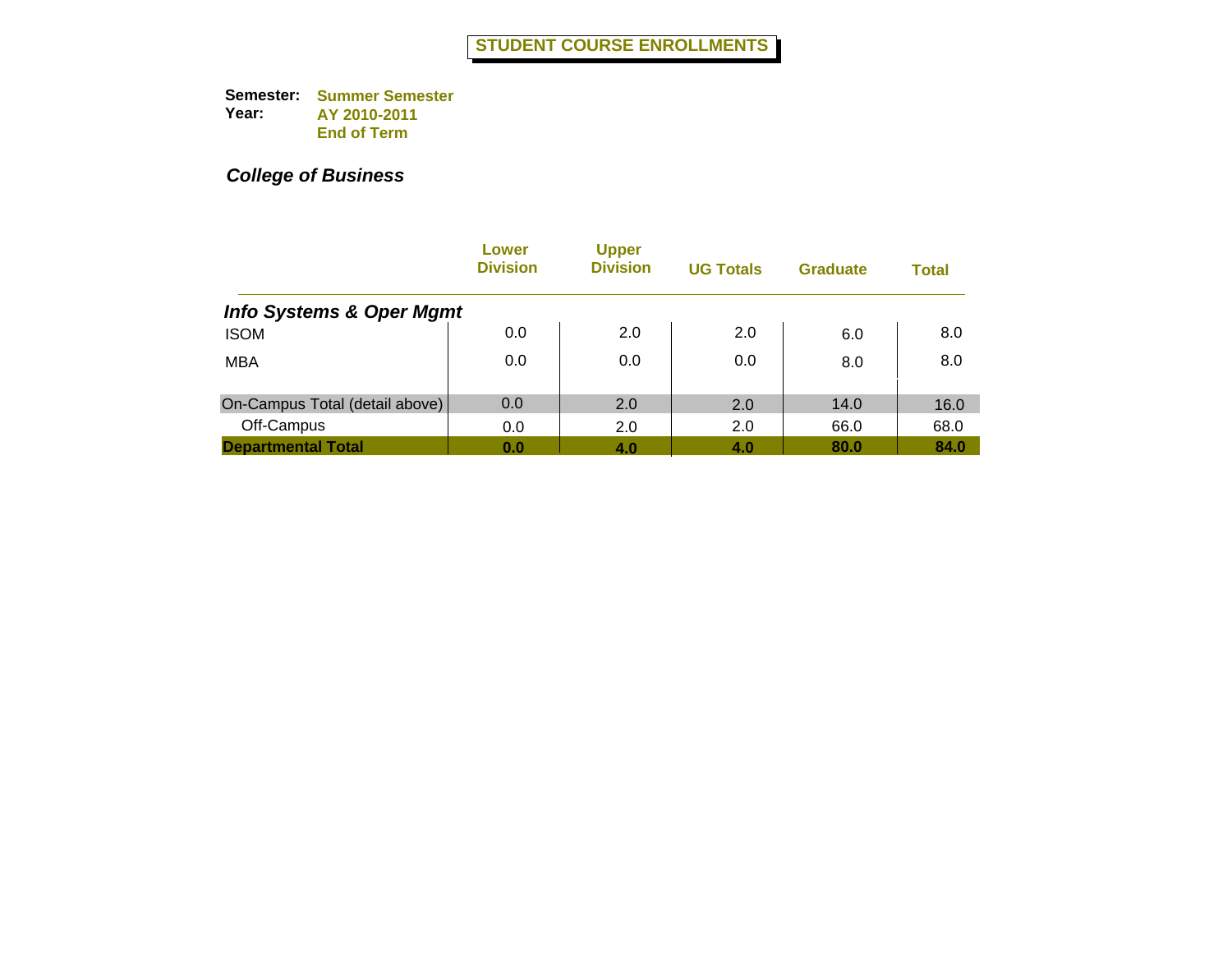|                                     | Lower<br><b>Division</b> | <b>Upper</b><br><b>Division</b> | <b>UG Totals</b> | <b>Graduate</b> | <b>Total</b> |
|-------------------------------------|--------------------------|---------------------------------|------------------|-----------------|--------------|
| <b>Info Systems &amp; Oper Mgmt</b> |                          |                                 |                  |                 |              |
| <b>ISOM</b>                         | 0.0                      | 2.0                             | 2.0              | 6.0             | 8.0          |
| <b>MBA</b>                          | 0.0                      | 0.0                             | 0.0              | 8.0             | 8.0          |
| On-Campus Total (detail above)      | 0.0                      | 2.0                             | 2.0              | 14.0            | 16.0         |
| Off-Campus                          | 0.0                      | 2.0                             | 2.0              | 66.0            | 68.0         |
| <b>Departmental Total</b>           | 0.0                      | 4.0                             | 4.0              | 80.0            | 84.0         |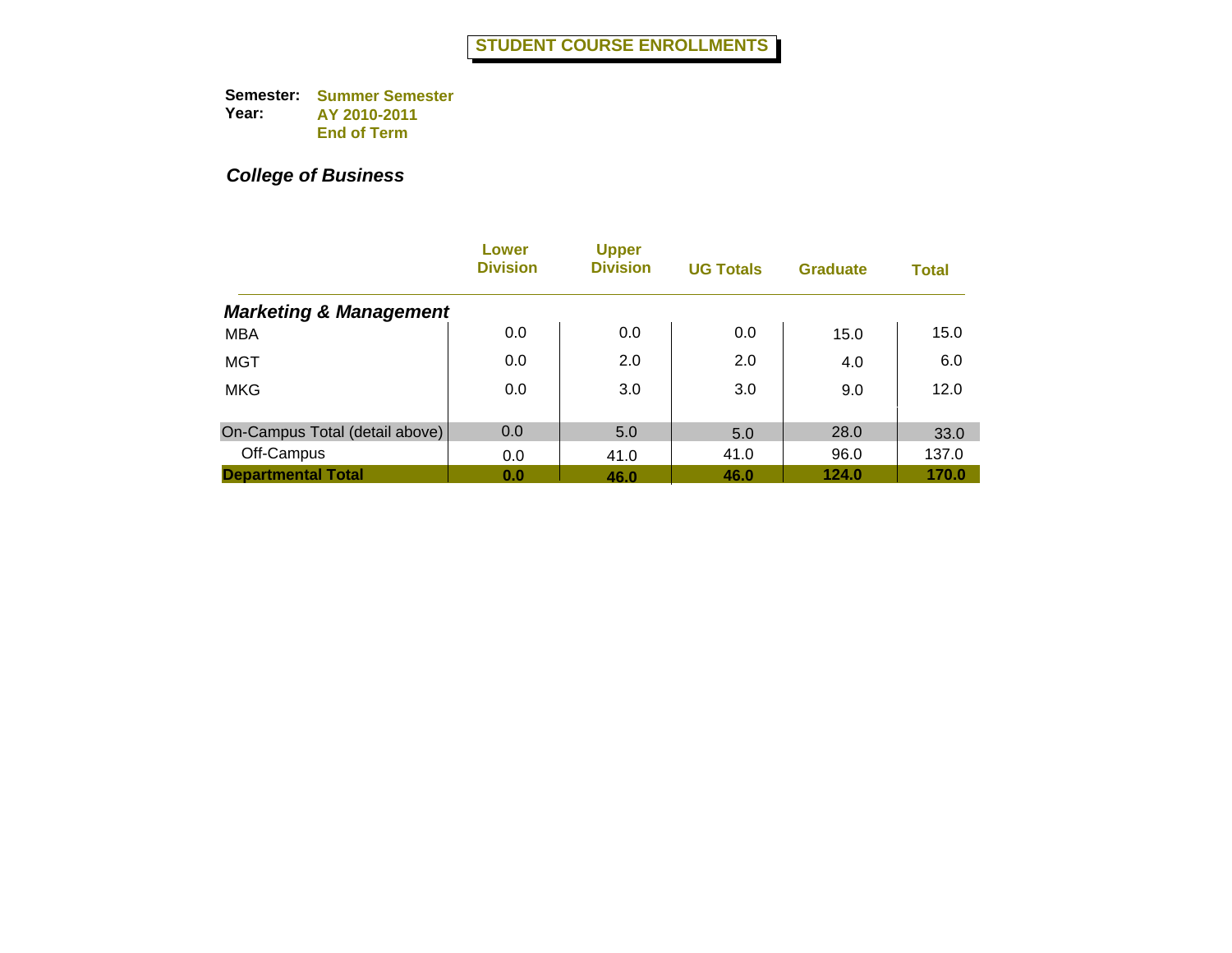|                                   | Lower<br><b>Division</b> | <b>Upper</b><br><b>Division</b> | <b>UG Totals</b> | <b>Graduate</b> | <b>Total</b> |
|-----------------------------------|--------------------------|---------------------------------|------------------|-----------------|--------------|
| <b>Marketing &amp; Management</b> |                          |                                 |                  |                 |              |
| <b>MBA</b>                        | 0.0                      | 0.0                             | 0.0              | 15.0            | 15.0         |
| MGT                               | 0.0                      | 2.0                             | 2.0              | 4.0             | 6.0          |
| <b>MKG</b>                        | 0.0                      | 3.0                             | 3.0              | 9.0             | 12.0         |
| On-Campus Total (detail above)    | 0.0                      | 5.0                             | 5.0              | 28.0            | 33.0         |
| Off-Campus                        | 0.0                      | 41.0                            | 41.0             | 96.0            | 137.0        |
| <b>Departmental Total</b>         | 0.0                      | 46.0                            | 46.0             | 124.0           | 170.0        |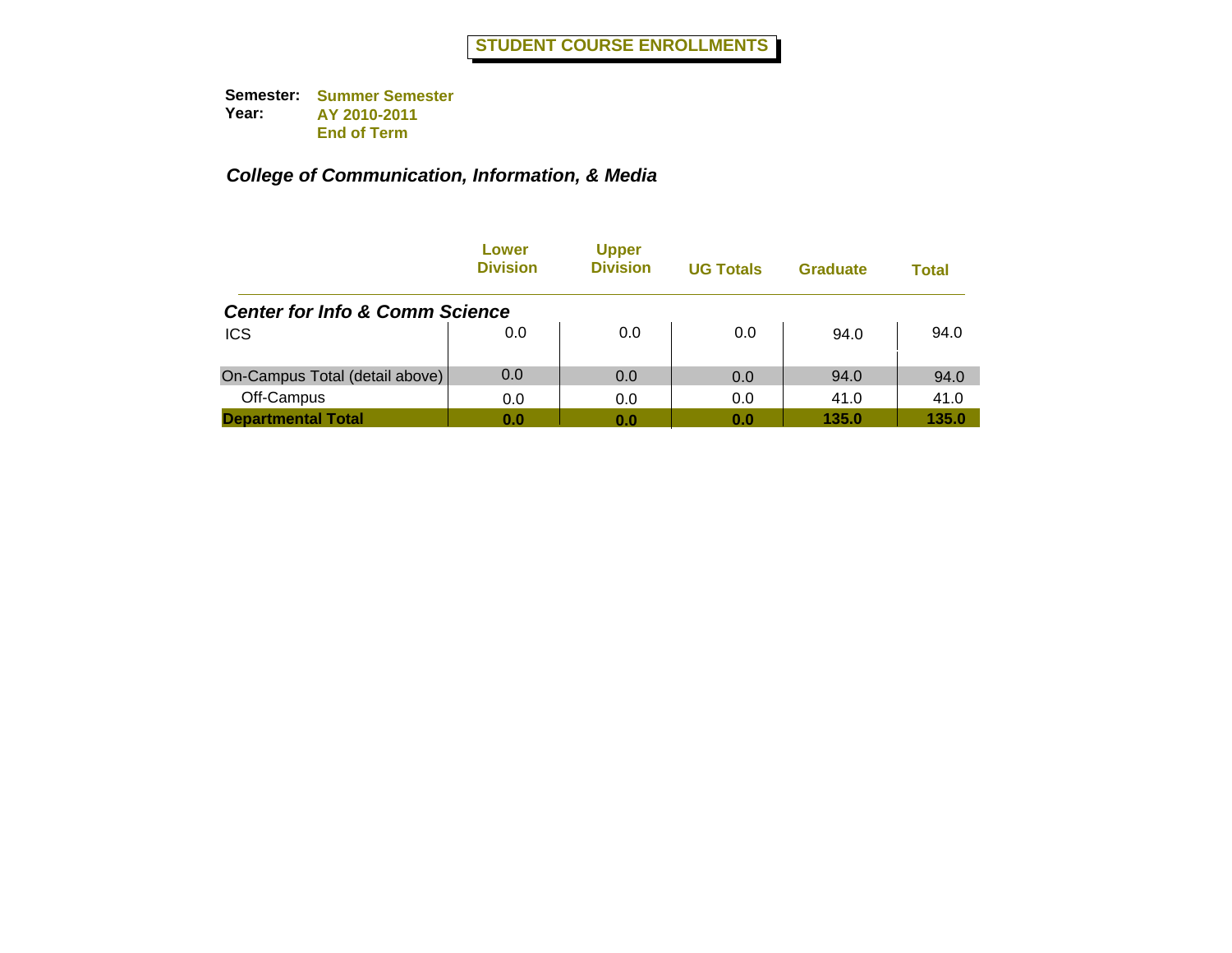|                                           | Lower<br><b>Division</b> | <b>Upper</b><br><b>Division</b> | <b>UG Totals</b> | <b>Graduate</b> | Total |
|-------------------------------------------|--------------------------|---------------------------------|------------------|-----------------|-------|
| <b>Center for Info &amp; Comm Science</b> |                          |                                 |                  |                 |       |
| <b>ICS</b>                                | 0.0                      | 0.0                             | 0.0              | 94.0            | 94.0  |
| On-Campus Total (detail above)            | 0.0                      | 0.0                             | 0.0              | 94.0            | 94.0  |
| Off-Campus                                | 0.0                      | 0.0                             | 0.0              | 41.0            | 41.0  |
| <b>Departmental Total</b>                 | 0.0                      | 0.0                             | 0.0              | 135.0           | 135.0 |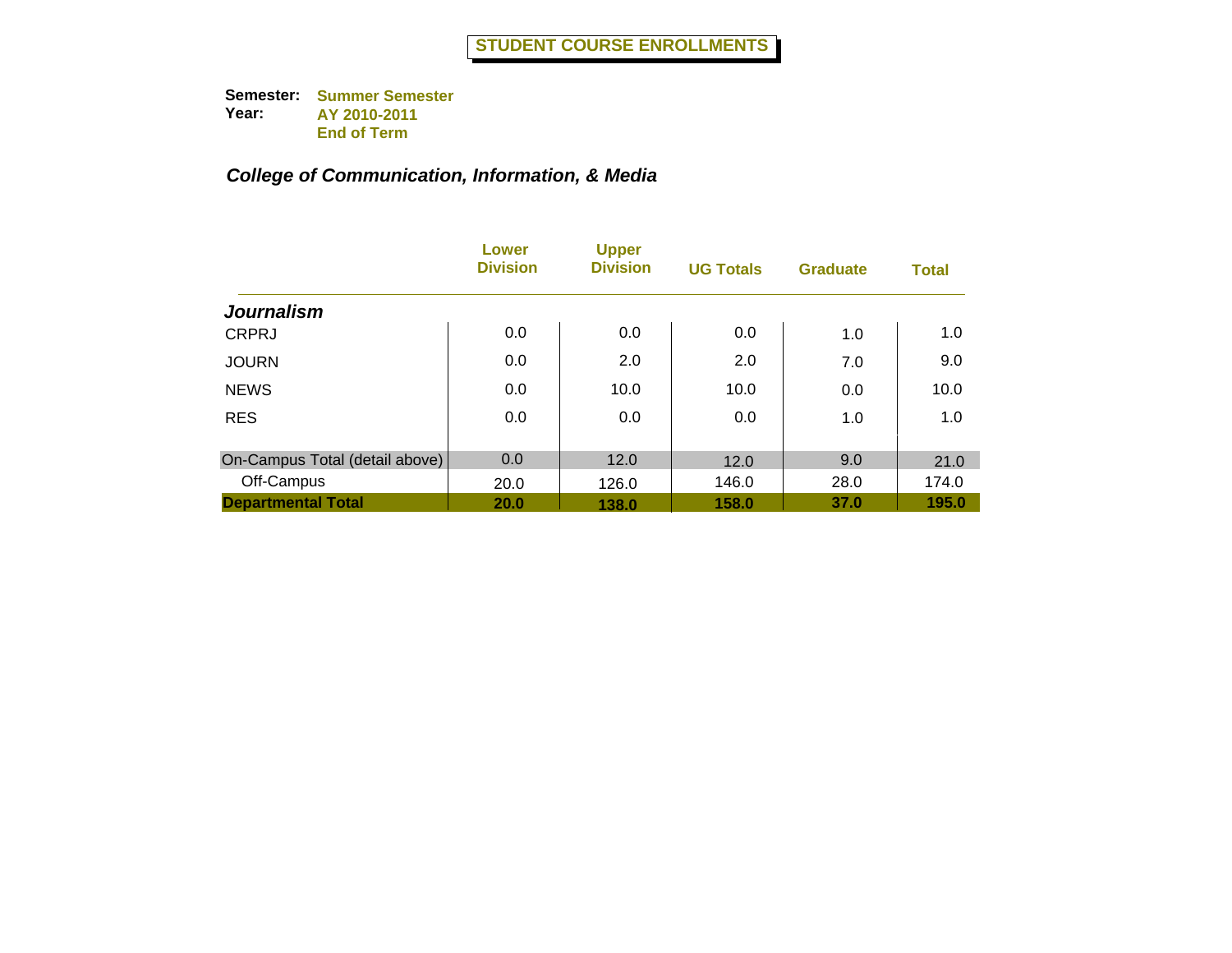|                                | Lower<br><b>Division</b> | <b>Upper</b><br><b>Division</b> | <b>UG Totals</b> | <b>Graduate</b> | <b>Total</b> |
|--------------------------------|--------------------------|---------------------------------|------------------|-----------------|--------------|
| <b>Journalism</b>              |                          |                                 |                  |                 |              |
| <b>CRPRJ</b>                   | 0.0                      | 0.0                             | 0.0              | 1.0             | 1.0          |
| <b>JOURN</b>                   | 0.0                      | 2.0                             | 2.0              | 7.0             | 9.0          |
| <b>NEWS</b>                    | 0.0                      | 10.0                            | 10.0             | 0.0             | 10.0         |
| <b>RES</b>                     | 0.0                      | 0.0                             | 0.0              | 1.0             | 1.0          |
| On-Campus Total (detail above) | 0.0                      | 12.0                            | 12.0             | 9.0             | 21.0         |
| Off-Campus                     | 20.0                     | 126.0                           | 146.0            | 28.0            | 174.0        |
| <b>Departmental Total</b>      | 20.0                     | 138.0                           | 158.0            | 37.0            | 195.0        |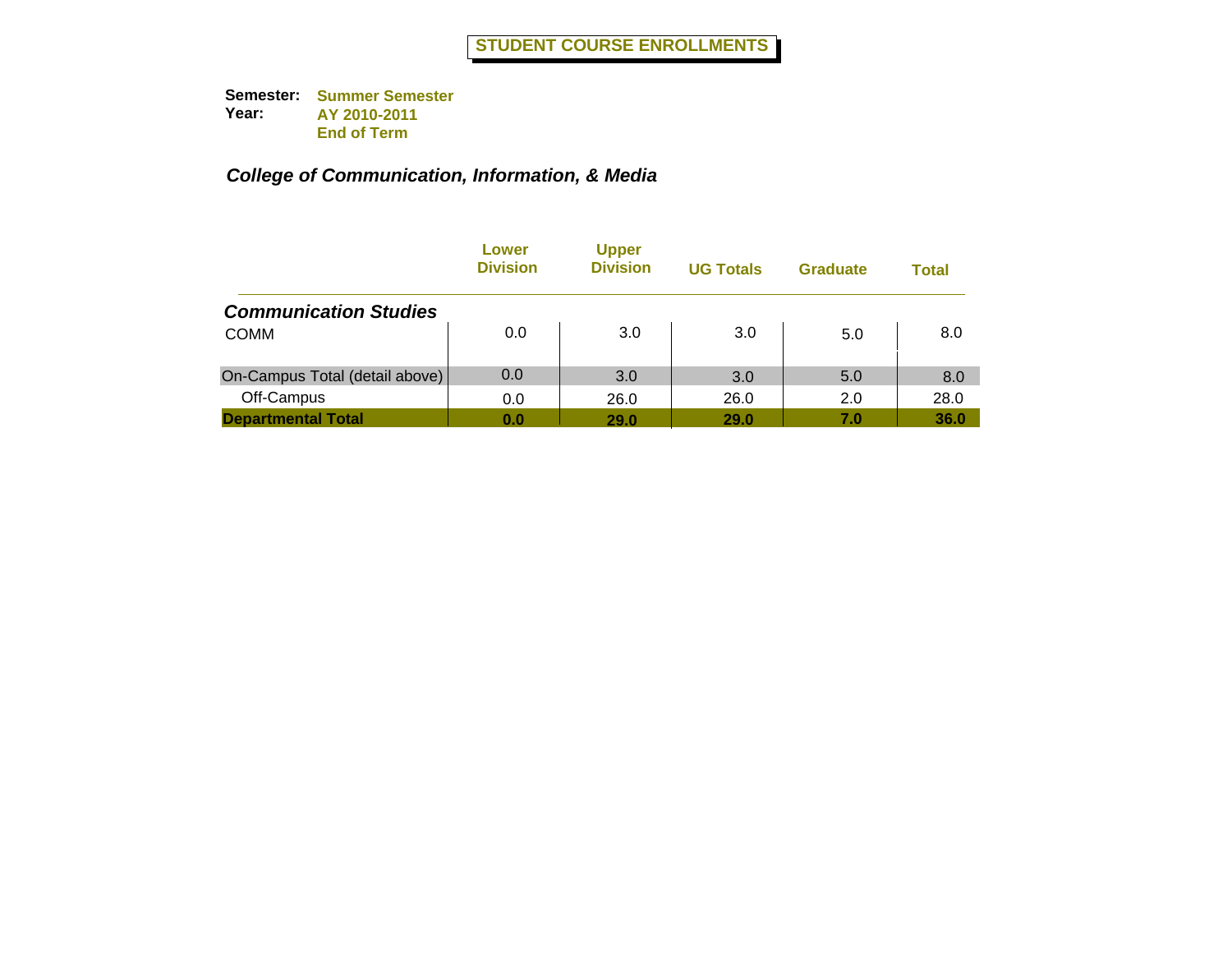|                                | Lower<br><b>Division</b> | <b>Upper</b><br><b>Division</b> | <b>UG Totals</b> | <b>Graduate</b> | Total |
|--------------------------------|--------------------------|---------------------------------|------------------|-----------------|-------|
| <b>Communication Studies</b>   |                          |                                 |                  |                 |       |
| <b>COMM</b>                    | 0.0                      | 3.0                             | 3.0              | 5.0             | 8.0   |
| On-Campus Total (detail above) | 0.0                      | 3.0                             | 3.0              | 5.0             | 8.0   |
| Off-Campus                     | 0.0                      | 26.0                            | 26.0             | 2.0             | 28.0  |
| <b>Departmental Total</b>      | 0.0                      | 29.0                            | 29.0             | 7.0             | 36.0  |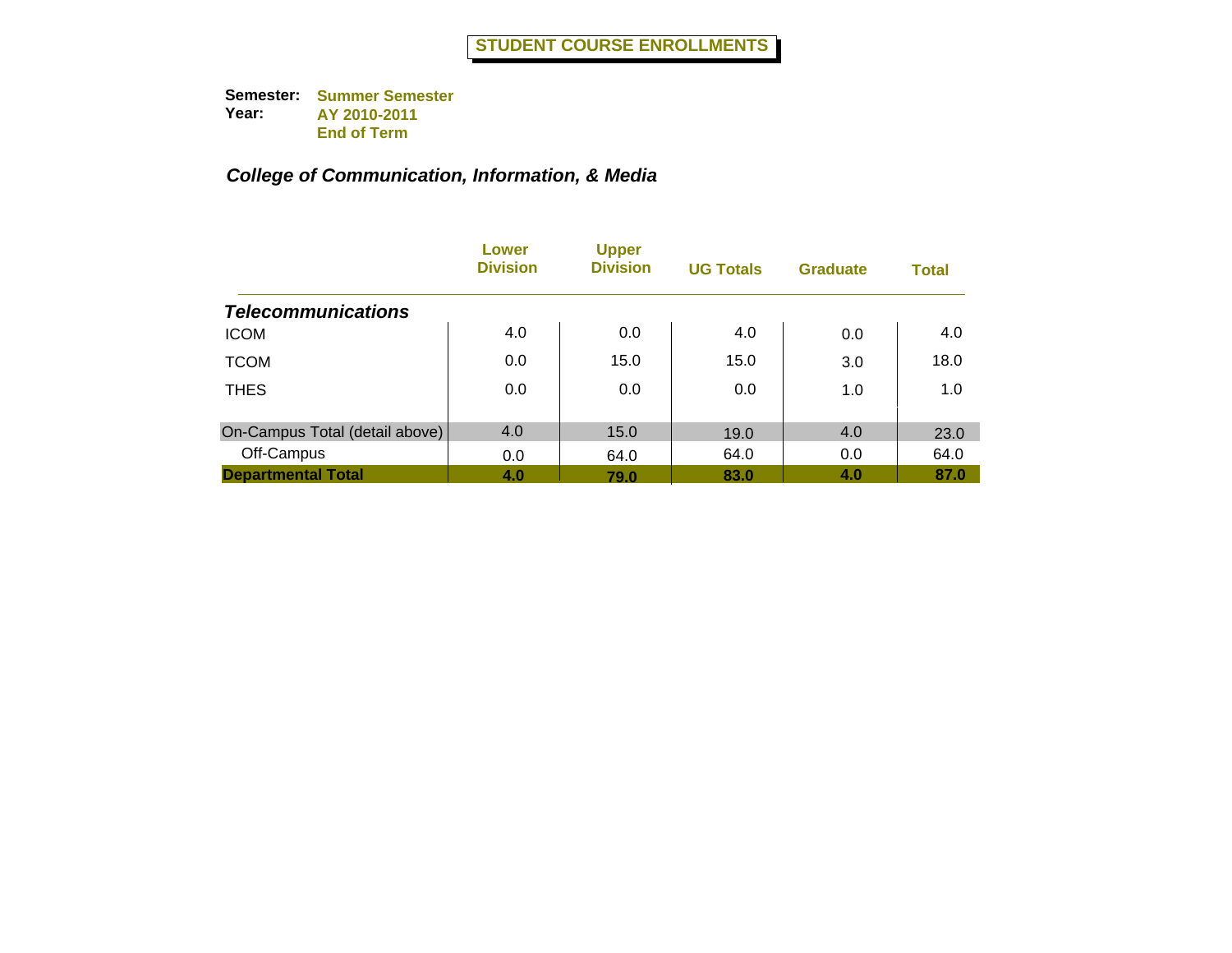|                                | Lower<br><b>Division</b> | <b>Upper</b><br><b>Division</b> | <b>UG Totals</b> | <b>Graduate</b> | <b>Total</b> |
|--------------------------------|--------------------------|---------------------------------|------------------|-----------------|--------------|
| <b>Telecommunications</b>      |                          |                                 |                  |                 |              |
| <b>ICOM</b>                    | 4.0                      | 0.0                             | 4.0              | 0.0             | 4.0          |
| <b>TCOM</b>                    | 0.0                      | 15.0                            | 15.0             | 3.0             | 18.0         |
| <b>THES</b>                    | 0.0                      | 0.0                             | 0.0              | 1.0             | 1.0          |
| On-Campus Total (detail above) | 4.0                      | 15.0                            | 19.0             | 4.0             | 23.0         |
| Off-Campus                     | 0.0                      | 64.0                            | 64.0             | 0.0             | 64.0         |
| <b>Departmental Total</b>      | 4.0                      | 79.0                            | 83.0             | 4.0             | 87.0         |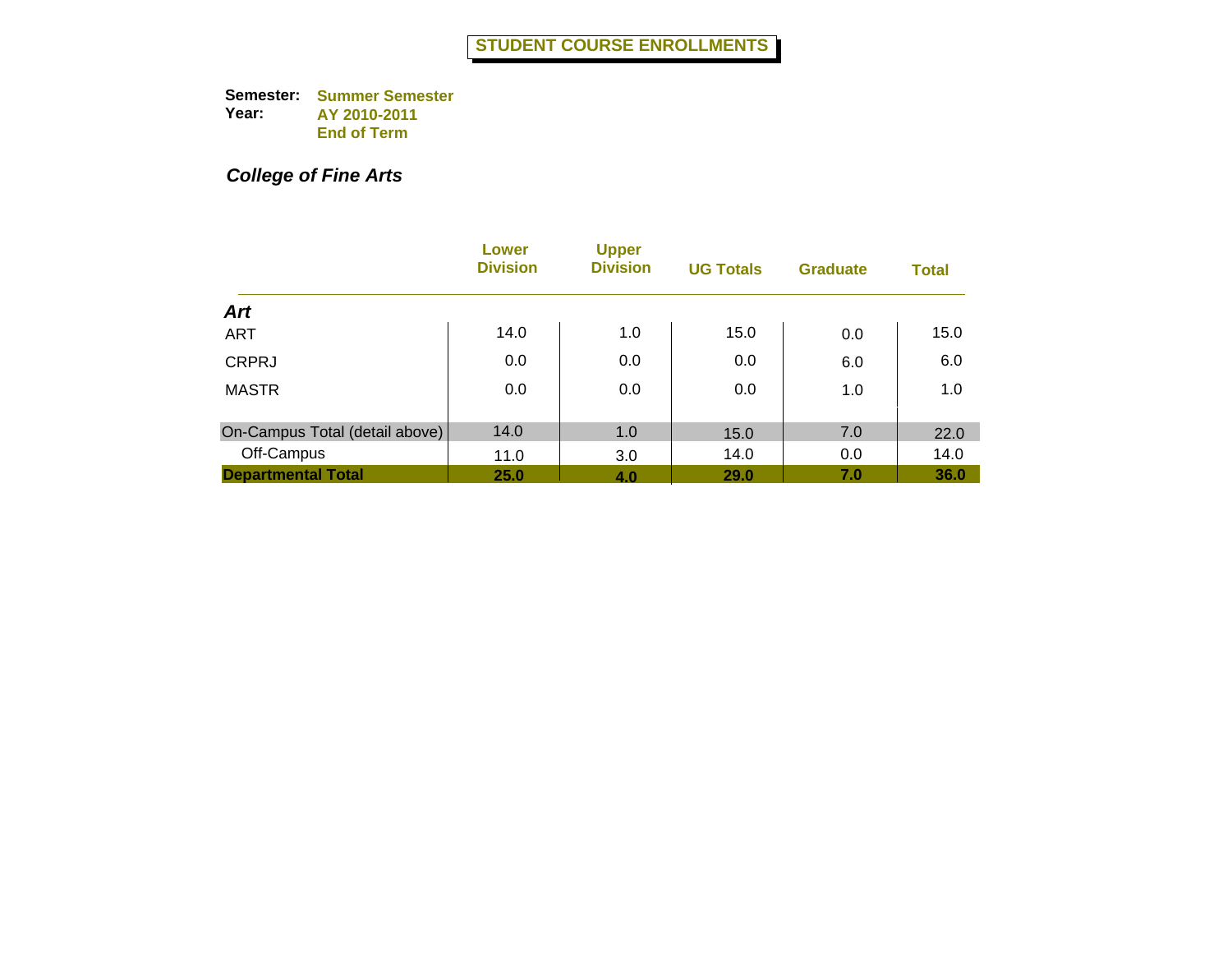## *College of Fine Arts*

|                                | Lower<br><b>Division</b> | <b>Upper</b><br><b>Division</b> | <b>UG Totals</b> | <b>Graduate</b> | <b>Total</b> |
|--------------------------------|--------------------------|---------------------------------|------------------|-----------------|--------------|
| <b>Art</b>                     |                          |                                 |                  |                 |              |
| <b>ART</b>                     | 14.0                     | 1.0                             | 15.0             | 0.0             | 15.0         |
| <b>CRPRJ</b>                   | 0.0                      | 0.0                             | 0.0              | 6.0             | 6.0          |
| <b>MASTR</b>                   | 0.0                      | 0.0                             | 0.0              | 1.0             | 1.0          |
| On-Campus Total (detail above) | 14.0                     | 1.0                             | 15.0             | 7.0             | 22.0         |
| Off-Campus                     | 11.0                     | 3.0                             | 14.0             | 0.0             | 14.0         |
| <b>Departmental Total</b>      | 25.0                     | 4.0                             | <b>29.0</b>      | 7.0             | 36.0         |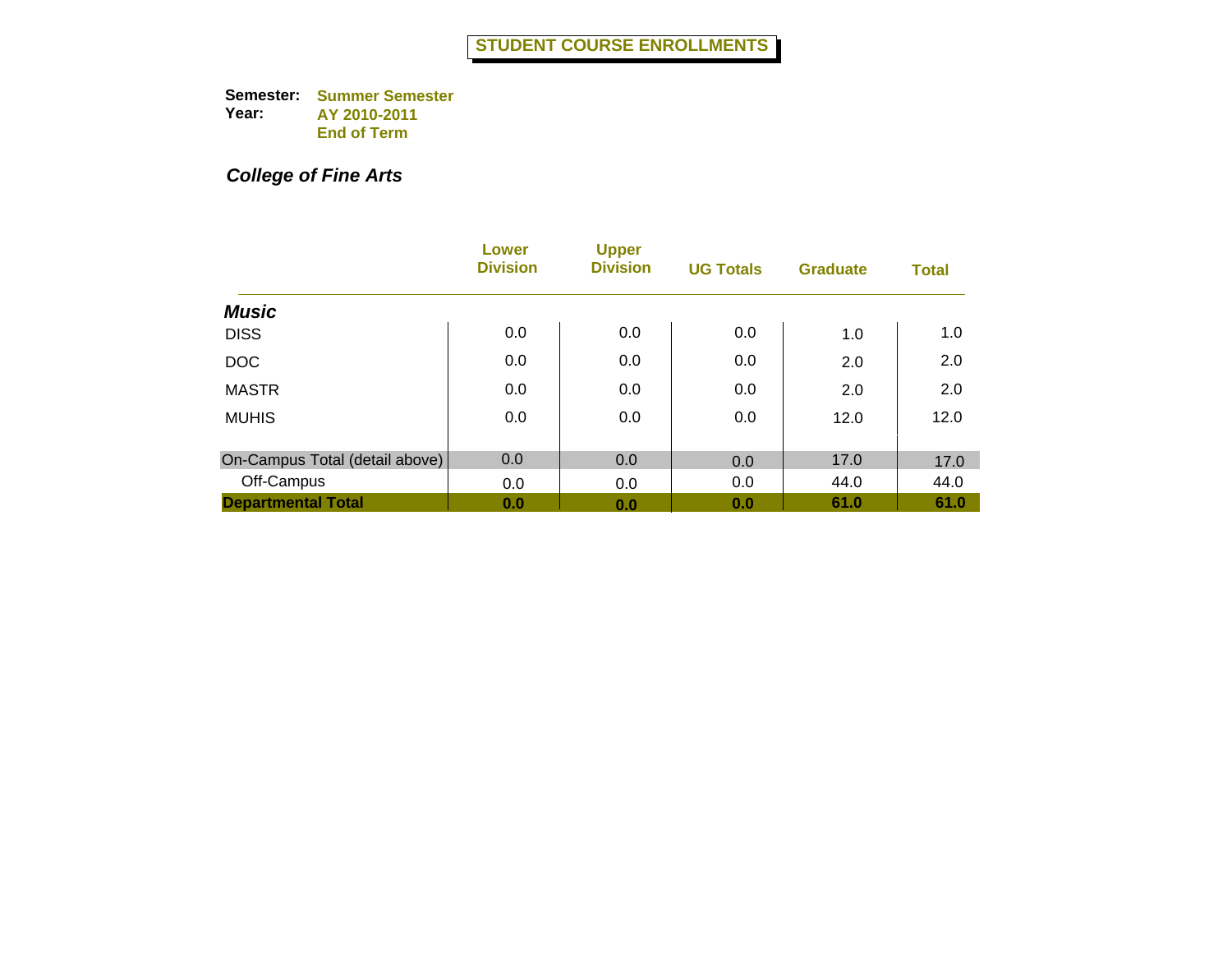## *College of Fine Arts*

|                                | <b>Lower</b><br><b>Division</b> | <b>Upper</b><br><b>Division</b> | <b>UG Totals</b> | <b>Graduate</b> | <b>Total</b> |
|--------------------------------|---------------------------------|---------------------------------|------------------|-----------------|--------------|
| <b>Music</b>                   |                                 |                                 |                  |                 |              |
| <b>DISS</b>                    | 0.0                             | 0.0                             | 0.0              | 1.0             | 1.0          |
| <b>DOC</b>                     | 0.0                             | 0.0                             | 0.0              | 2.0             | 2.0          |
| <b>MASTR</b>                   | 0.0                             | 0.0                             | 0.0              | 2.0             | 2.0          |
| <b>MUHIS</b>                   | 0.0                             | 0.0                             | 0.0              | 12.0            | 12.0         |
| On-Campus Total (detail above) | 0.0                             | 0.0                             | 0.0              | 17.0            | 17.0         |
| Off-Campus                     | 0.0                             | 0.0                             | 0.0              | 44.0            | 44.0         |
| <b>Departmental Total</b>      | 0.0                             | 0.0                             | 0.0              | 61.0            | 61.0         |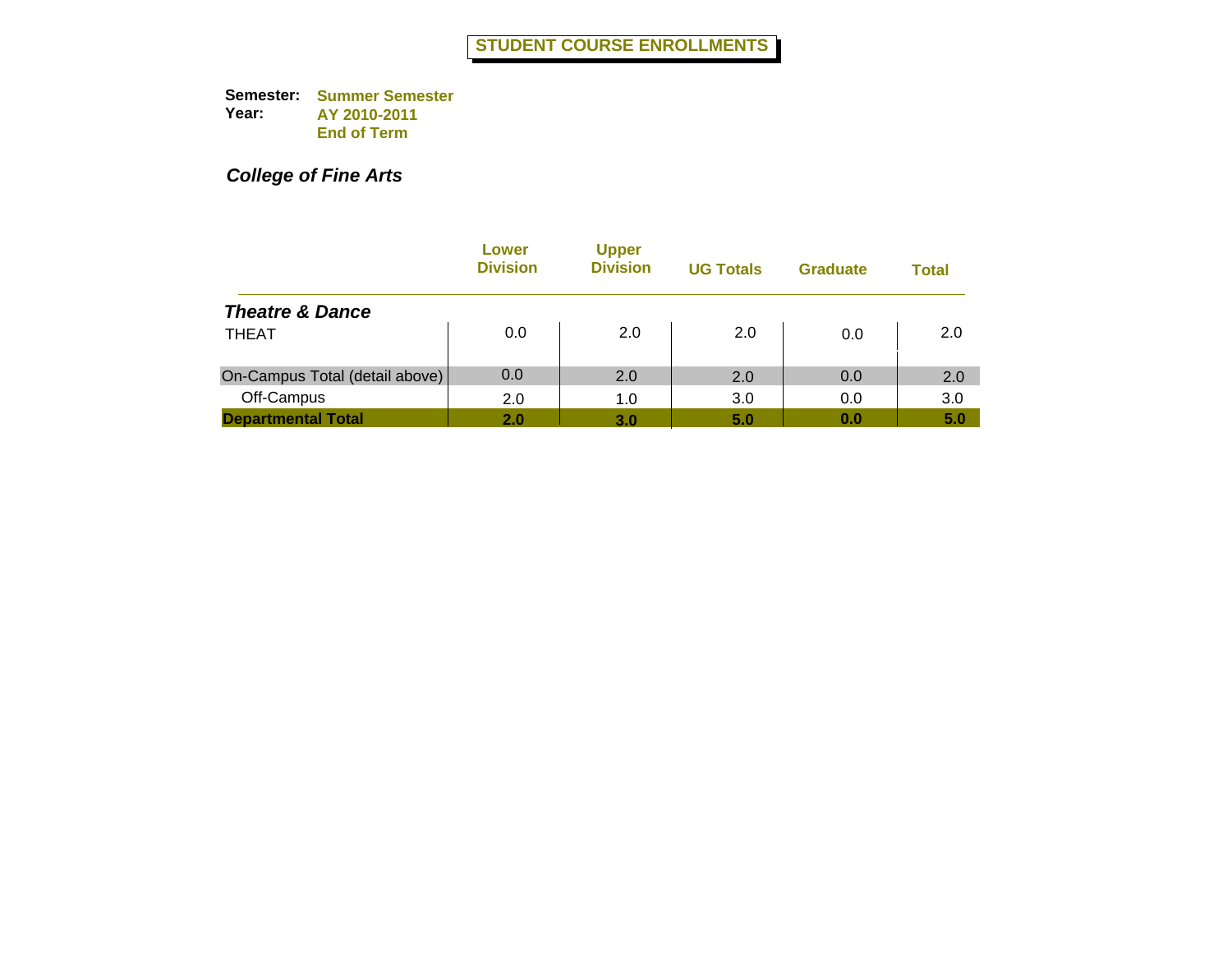*College of Fine Arts*

|                                | Lower<br><b>Division</b> | <b>Upper</b><br><b>Division</b> | <b>UG Totals</b> | <b>Graduate</b> | Total |
|--------------------------------|--------------------------|---------------------------------|------------------|-----------------|-------|
| <b>Theatre &amp; Dance</b>     |                          |                                 |                  |                 |       |
| <b>THEAT</b>                   | 0.0                      | 2.0                             | 2.0              | 0.0             | 2.0   |
| On-Campus Total (detail above) | 0.0                      | 2.0                             | 2.0              | 0.0             | 2.0   |
| Off-Campus                     | 2.0                      | 1.0                             | 3.0              | 0.0             | 3.0   |
| <b>Departmental Total</b>      | 2.0                      | 3.0                             | 5.0              | 0.0             | 5.0   |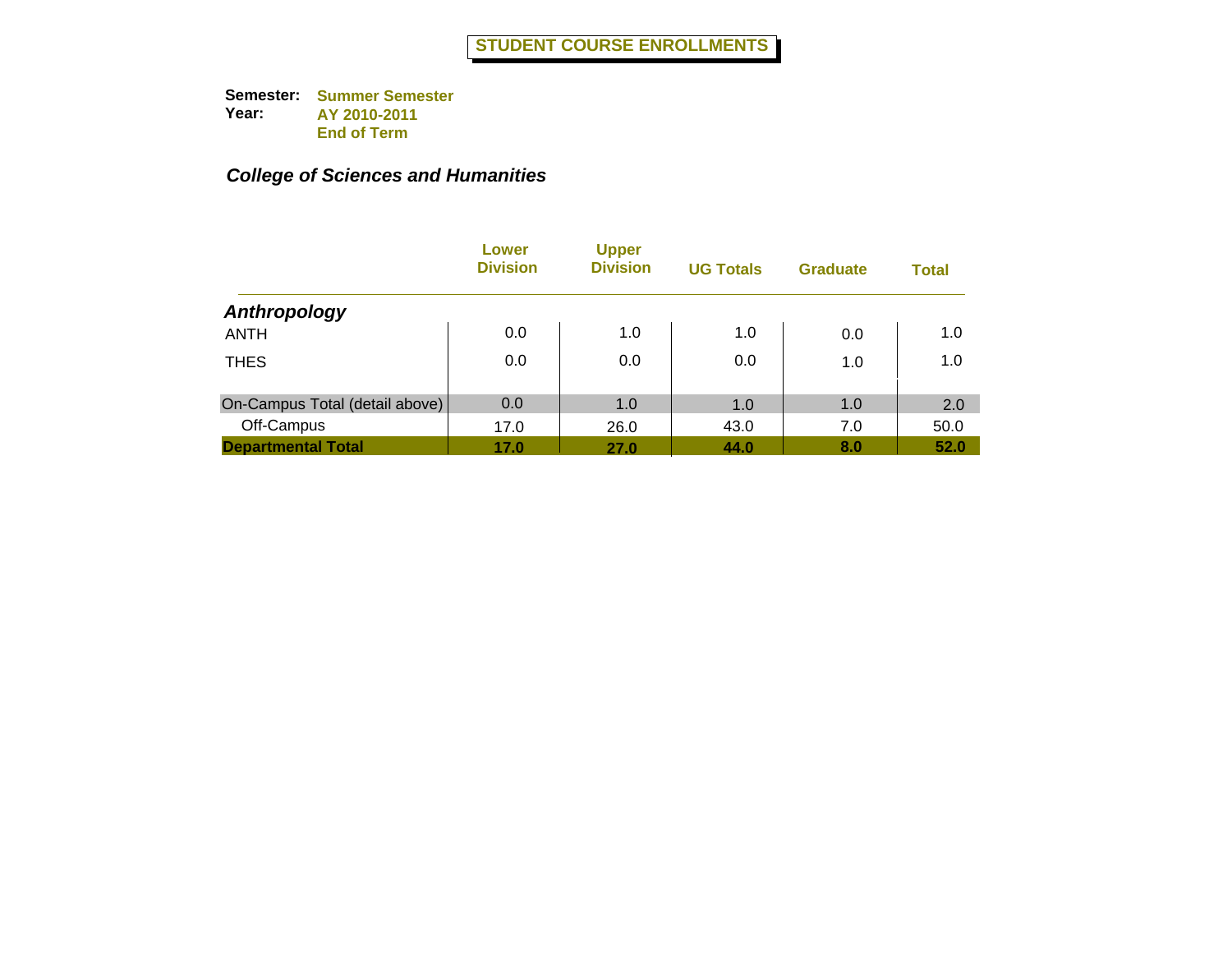|                                | Lower<br><b>Division</b> | <b>Upper</b><br><b>Division</b> | <b>UG Totals</b> | <b>Graduate</b> | <b>Total</b> |
|--------------------------------|--------------------------|---------------------------------|------------------|-----------------|--------------|
| Anthropology                   |                          |                                 |                  |                 |              |
| <b>ANTH</b>                    | 0.0                      | 1.0                             | 1.0              | 0.0             | 1.0          |
| <b>THES</b>                    | 0.0                      | 0.0                             | 0.0              | 1.0             | 1.0          |
| On-Campus Total (detail above) | 0.0                      | 1.0                             | 1.0              | 1.0             | 2.0          |
| Off-Campus                     | 17.0                     | 26.0                            | 43.0             | 7.0             | 50.0         |
| <b>Departmental Total</b>      | 17.0                     | 27.0                            | 44.0             | 8.0             | 52.0         |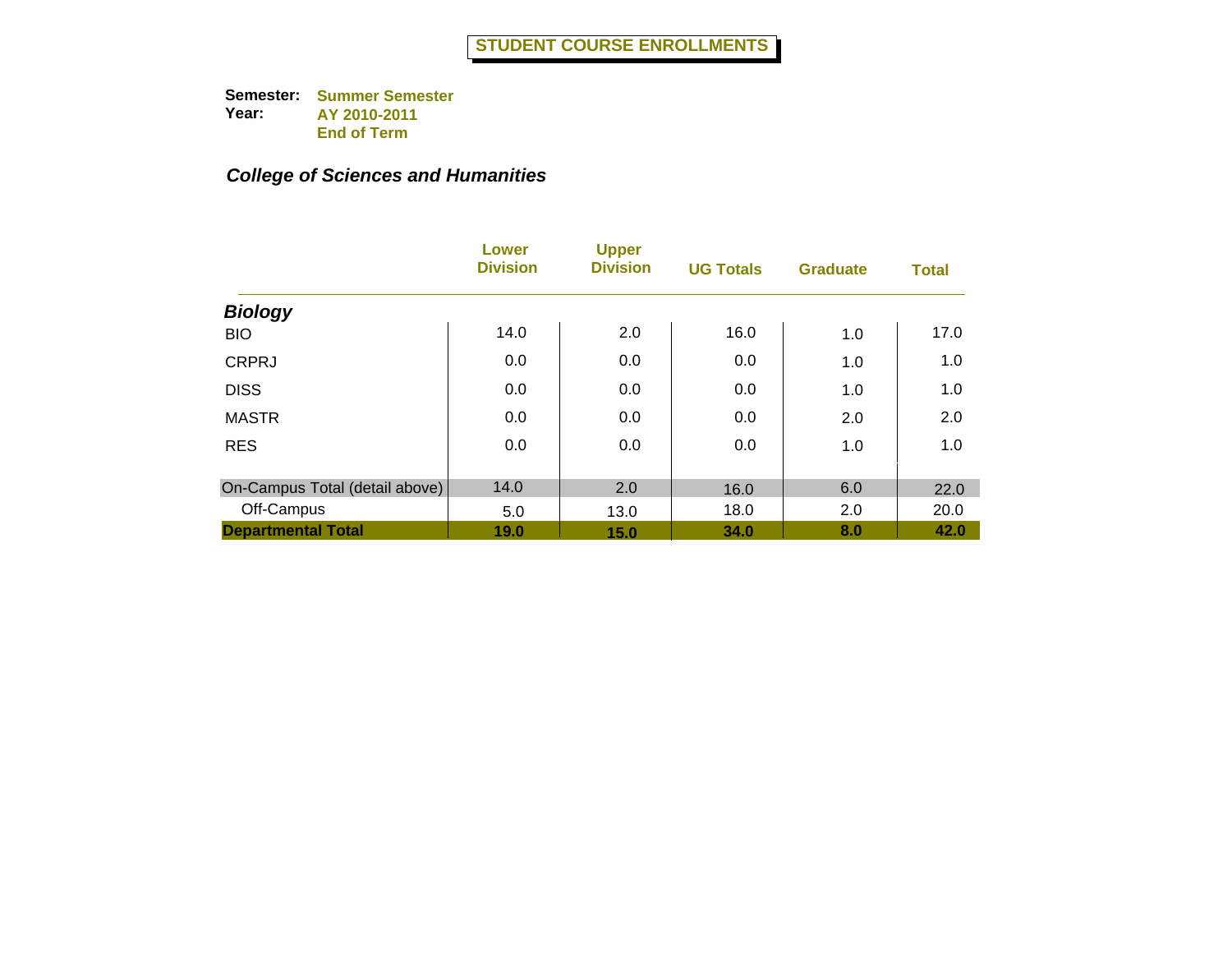|                                | <b>Lower</b><br><b>Division</b> | <b>Upper</b><br><b>Division</b> | <b>UG Totals</b> | <b>Graduate</b> | <b>Total</b> |
|--------------------------------|---------------------------------|---------------------------------|------------------|-----------------|--------------|
| <b>Biology</b>                 |                                 |                                 |                  |                 |              |
| <b>BIO</b>                     | 14.0                            | 2.0                             | 16.0             | 1.0             | 17.0         |
| <b>CRPRJ</b>                   | 0.0                             | 0.0                             | 0.0              | 1.0             | 1.0          |
| <b>DISS</b>                    | 0.0                             | 0.0                             | 0.0              | 1.0             | 1.0          |
| <b>MASTR</b>                   | 0.0                             | 0.0                             | 0.0              | 2.0             | 2.0          |
| <b>RES</b>                     | 0.0                             | 0.0                             | 0.0              | 1.0             | 1.0          |
| On-Campus Total (detail above) | 14.0                            | 2.0                             | 16.0             | 6.0             | 22.0         |
| Off-Campus                     | 5.0                             | 13.0                            | 18.0             | 2.0             | 20.0         |
| <b>Departmental Total</b>      | 19.0                            | 15.0                            | 34.0             | 8.0             | 42.0         |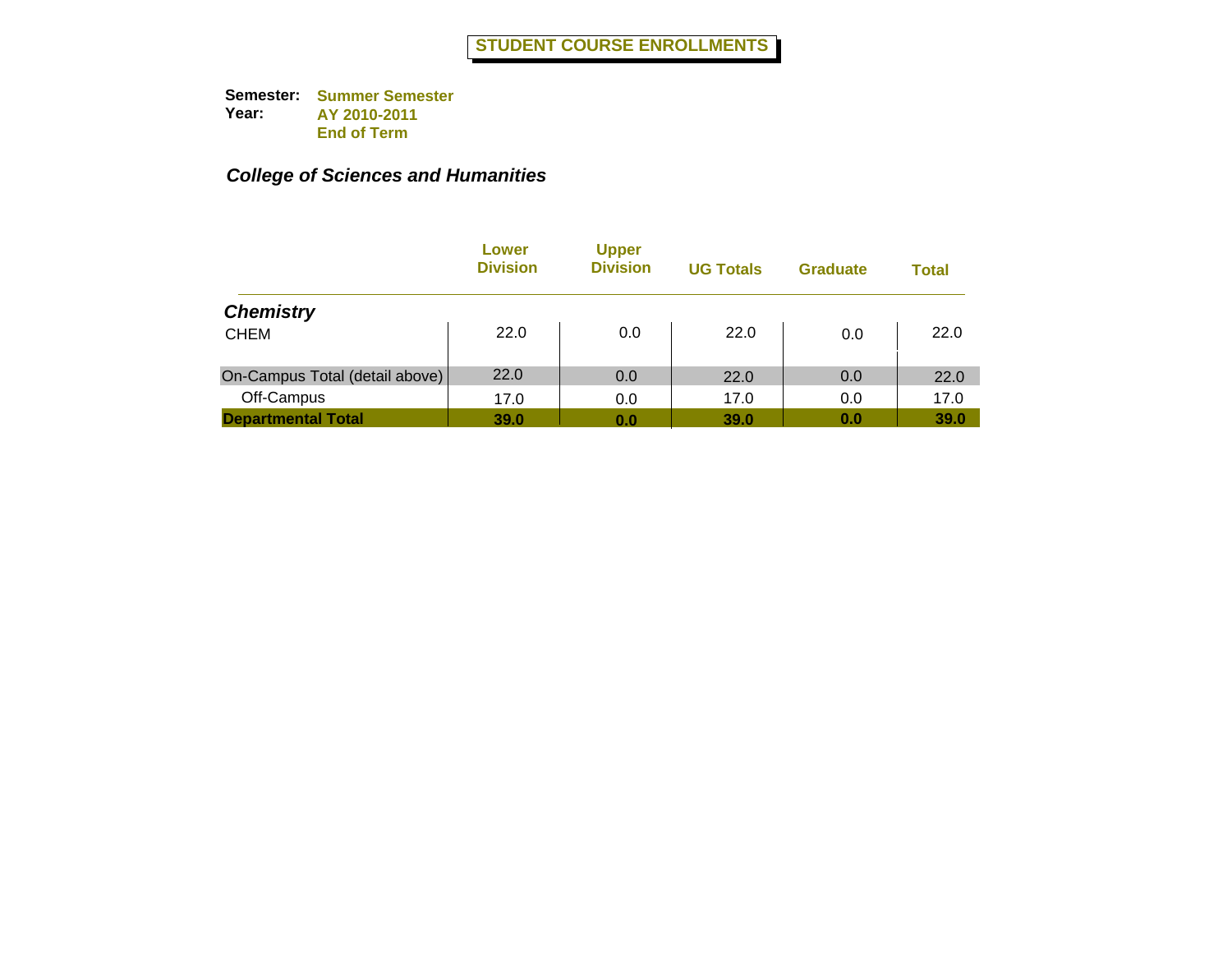|                                | Lower<br><b>Division</b> | <b>Upper</b><br><b>Division</b> | <b>UG Totals</b> | <b>Graduate</b> | <b>Total</b> |
|--------------------------------|--------------------------|---------------------------------|------------------|-----------------|--------------|
| <b>Chemistry</b>               |                          |                                 |                  |                 |              |
| <b>CHEM</b>                    | 22.0                     | 0.0                             | 22.0             | 0.0             | 22.0         |
| On-Campus Total (detail above) | 22.0                     | 0.0                             | 22.0             | 0.0             | 22.0         |
| Off-Campus                     | 17.0                     | 0.0                             | 17.0             | 0.0             | 17.0         |
| <b>Departmental Total</b>      | <b>39.0</b>              | 0.0                             | 39.0             | 0.0             | 39.0         |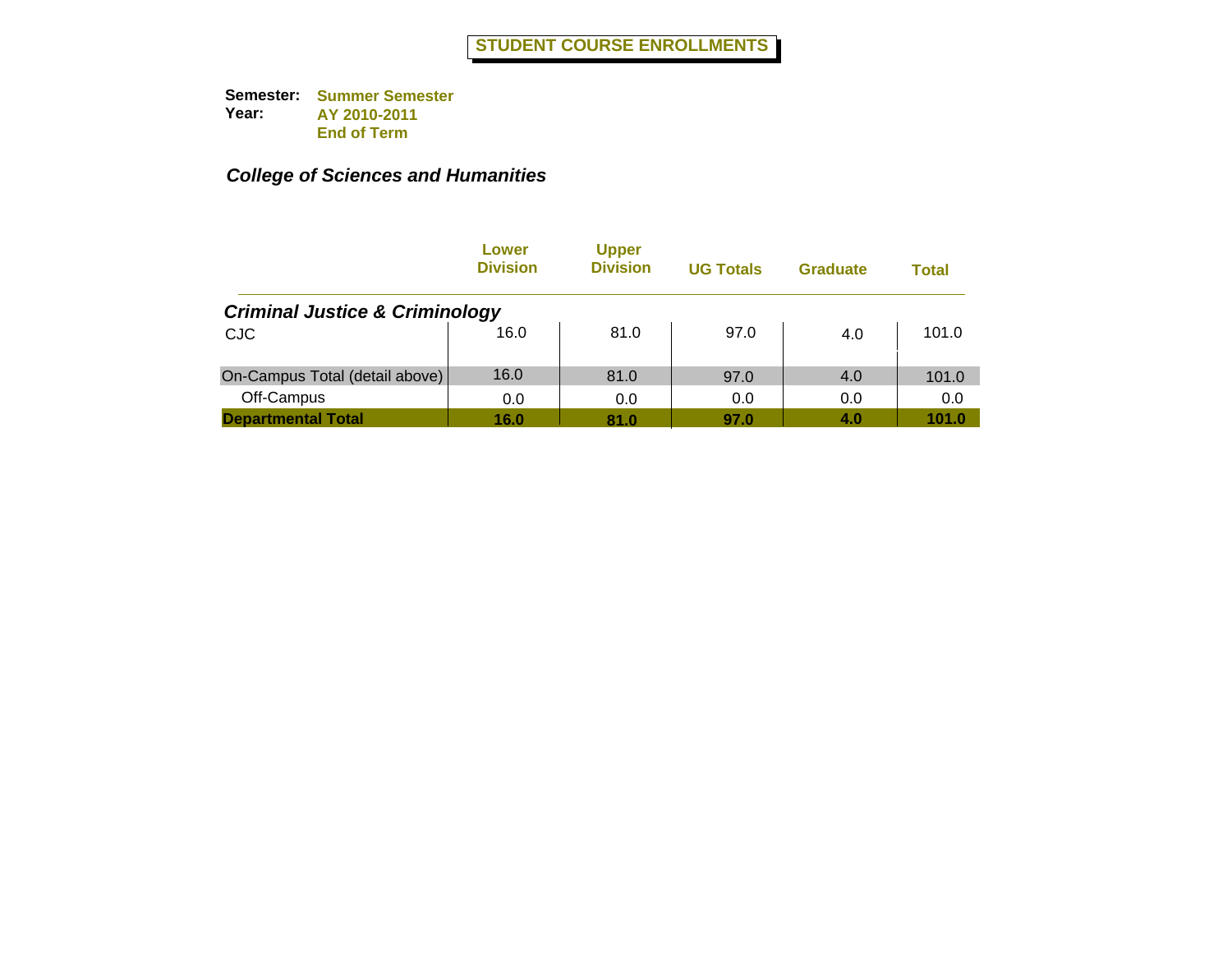|                                           | Lower<br><b>Division</b> | <b>Upper</b><br><b>Division</b> | <b>UG Totals</b> | <b>Graduate</b> | Total |
|-------------------------------------------|--------------------------|---------------------------------|------------------|-----------------|-------|
| <b>Criminal Justice &amp; Criminology</b> |                          |                                 |                  |                 |       |
| <b>CJC</b>                                | 16.0                     | 81.0                            | 97.0             | 4.0             | 101.0 |
| On-Campus Total (detail above)            | 16.0                     | 81.0                            | 97.0             | 4.0             | 101.0 |
| Off-Campus                                | 0.0                      | 0.0                             | 0.0              | 0.0             | 0.0   |
| <b>Departmental Total</b>                 | 16.0                     | 81.0                            | 97.0             | 4.0             | 101.0 |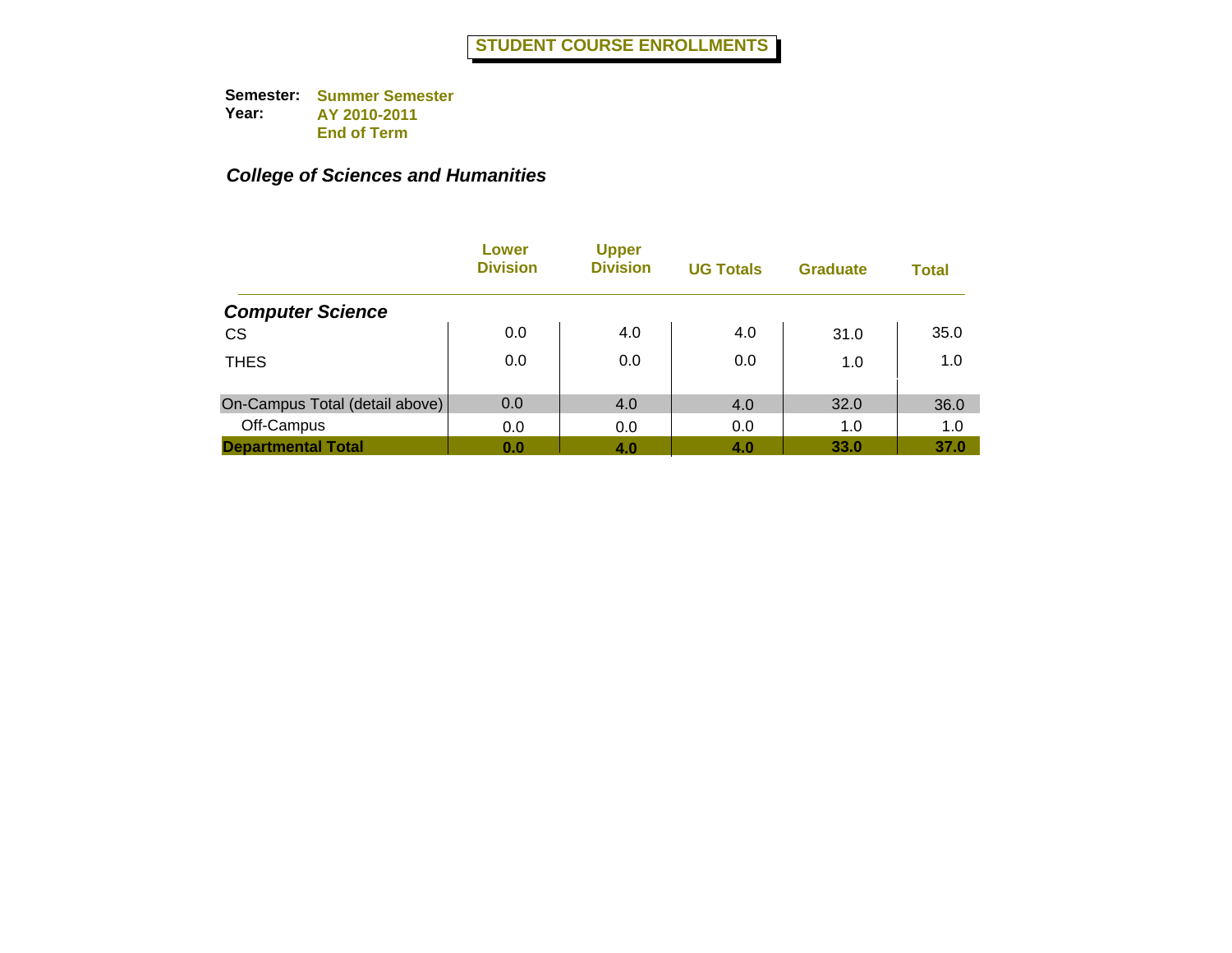|                                | Lower<br><b>Division</b> | <b>Upper</b><br><b>Division</b> | <b>UG Totals</b> | <b>Graduate</b> | <b>Total</b> |
|--------------------------------|--------------------------|---------------------------------|------------------|-----------------|--------------|
| <b>Computer Science</b>        |                          |                                 |                  |                 |              |
| <b>CS</b>                      | 0.0                      | 4.0                             | 4.0              | 31.0            | 35.0         |
| <b>THES</b>                    | 0.0                      | 0.0                             | 0.0              | 1.0             | 1.0          |
| On-Campus Total (detail above) | 0.0                      | 4.0                             | 4.0              | 32.0            | 36.0         |
| Off-Campus                     | 0.0                      | 0.0                             | 0.0              | 1.0             | 1.0          |
| <b>Departmental Total</b>      | 0.0                      | 4.0                             | 4.0              | 33.0            | 37.0         |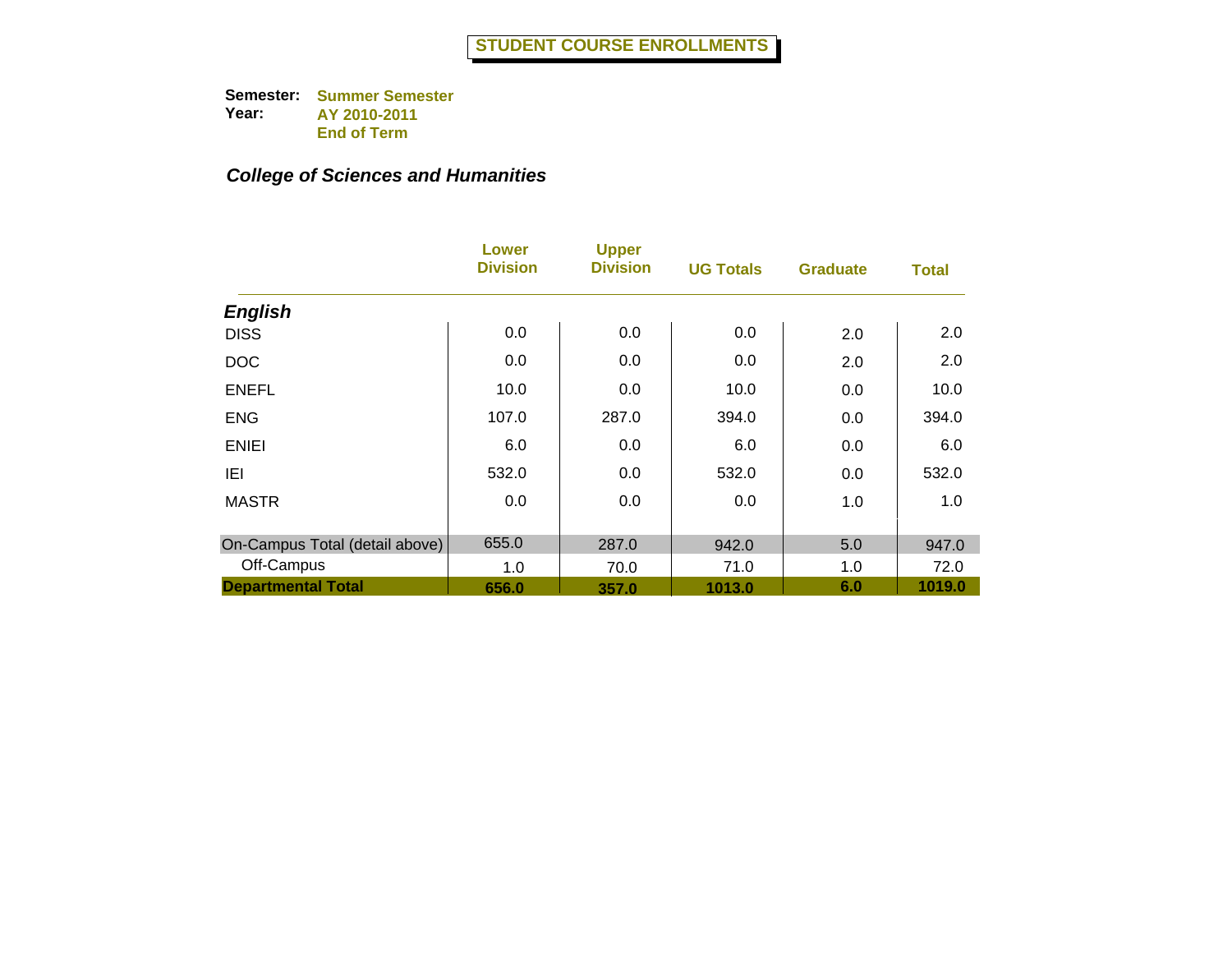|                                | Lower<br><b>Division</b> | <b>Upper</b><br><b>Division</b> | <b>UG Totals</b> | <b>Graduate</b> | <b>Total</b> |
|--------------------------------|--------------------------|---------------------------------|------------------|-----------------|--------------|
| <b>English</b>                 |                          |                                 |                  |                 |              |
| <b>DISS</b>                    | 0.0                      | 0.0                             | 0.0              | 2.0             | 2.0          |
| <b>DOC</b>                     | 0.0                      | 0.0                             | 0.0              | 2.0             | 2.0          |
| <b>ENEFL</b>                   | 10.0                     | 0.0                             | 10.0             | 0.0             | 10.0         |
| <b>ENG</b>                     | 107.0                    | 287.0                           | 394.0            | 0.0             | 394.0        |
| <b>ENIEI</b>                   | 6.0                      | 0.0                             | 6.0              | 0.0             | 6.0          |
| IEI                            | 532.0                    | 0.0                             | 532.0            | 0.0             | 532.0        |
| <b>MASTR</b>                   | 0.0                      | 0.0                             | 0.0              | 1.0             | 1.0          |
| On-Campus Total (detail above) | 655.0                    | 287.0                           | 942.0            | 5.0             | 947.0        |
| Off-Campus                     | 1.0                      | 70.0                            | 71.0             | 1.0             | 72.0         |
| <b>Departmental Total</b>      | 656.0                    | 357.0                           | 1013.0           | 6.0             | 1019.0       |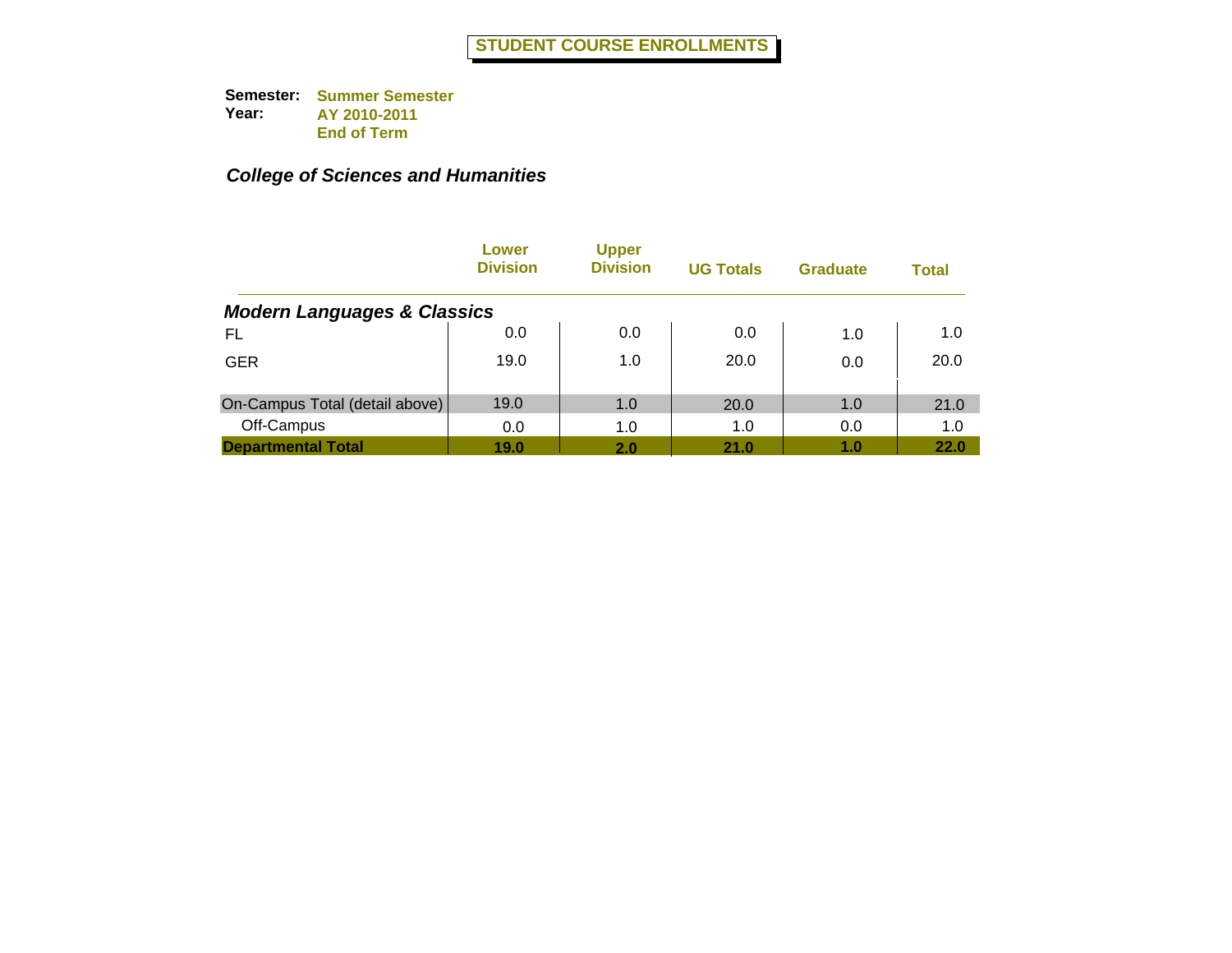|                                        | Lower<br><b>Division</b> | <b>Upper</b><br><b>Division</b> | <b>UG Totals</b> | <b>Graduate</b> | <b>Total</b> |
|----------------------------------------|--------------------------|---------------------------------|------------------|-----------------|--------------|
| <b>Modern Languages &amp; Classics</b> |                          |                                 |                  |                 |              |
| FL                                     | 0.0                      | 0.0                             | 0.0              | 1.0             | 1.0          |
| <b>GER</b>                             | 19.0                     | 1.0                             | 20.0             | 0.0             | 20.0         |
| On-Campus Total (detail above)         | 19.0                     | 1.0                             | 20.0             | 1.0             | 21.0         |
| Off-Campus                             | 0.0                      | 1.0                             | 1.0              | 0.0             | 1.0          |
| <b>Departmental Total</b>              | 19.0                     | 2.0                             | 21.0             | 1.0             | 22.0         |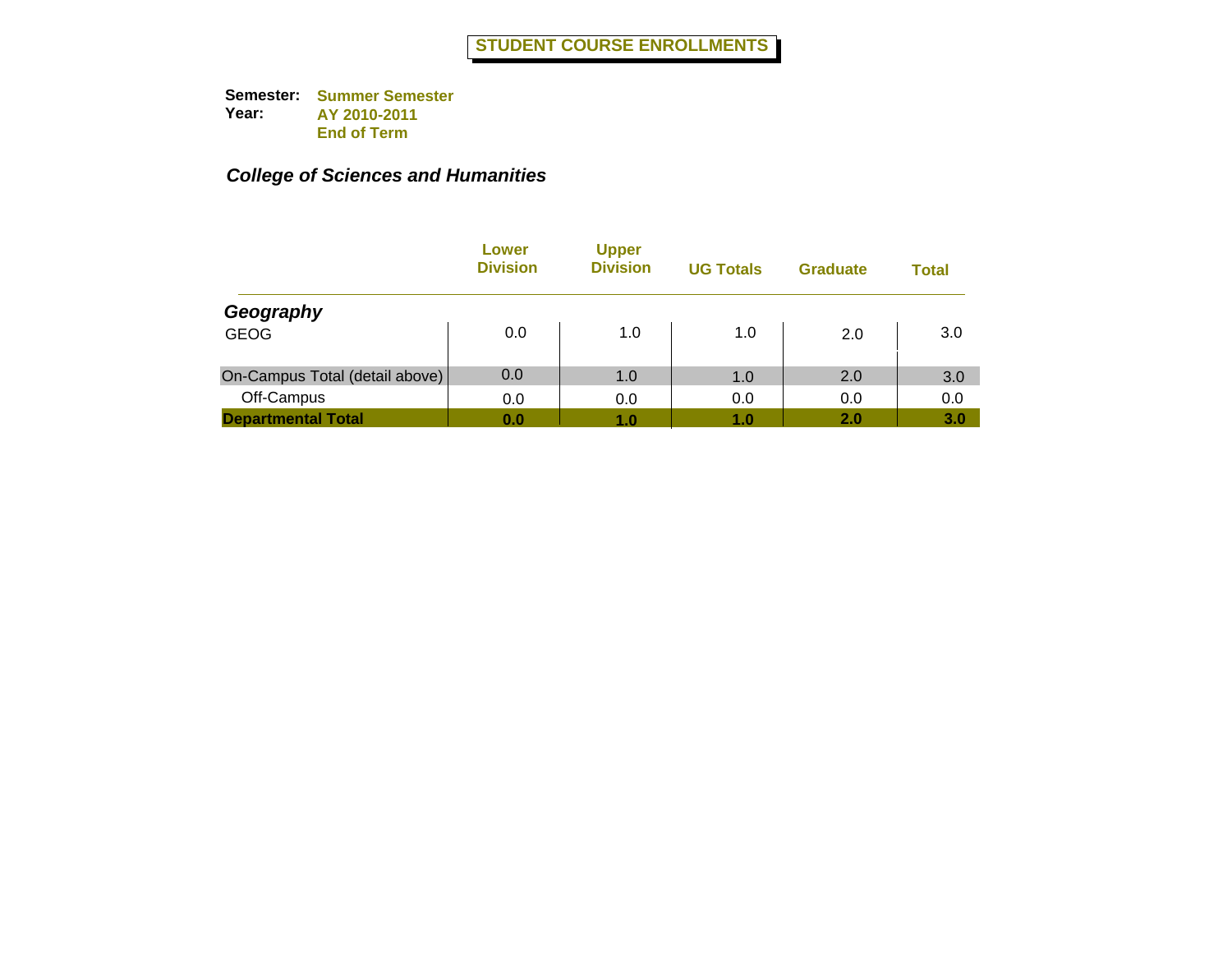|                                | Lower<br><b>Division</b> | <b>Upper</b><br><b>Division</b> | <b>UG Totals</b> | <b>Graduate</b> | Total |
|--------------------------------|--------------------------|---------------------------------|------------------|-----------------|-------|
| Geography                      |                          |                                 |                  |                 |       |
| <b>GEOG</b>                    | 0.0                      | 1.0                             | 1.0              | 2.0             | 3.0   |
| On-Campus Total (detail above) | 0.0                      | 1.0                             | 1.0              | 2.0             | 3.0   |
| Off-Campus                     | 0.0                      | 0.0                             | 0.0              | 0.0             | 0.0   |
| <b>Departmental Total</b>      | 0.0                      | 1.0                             | 1.0              | 2.0             | 3.0   |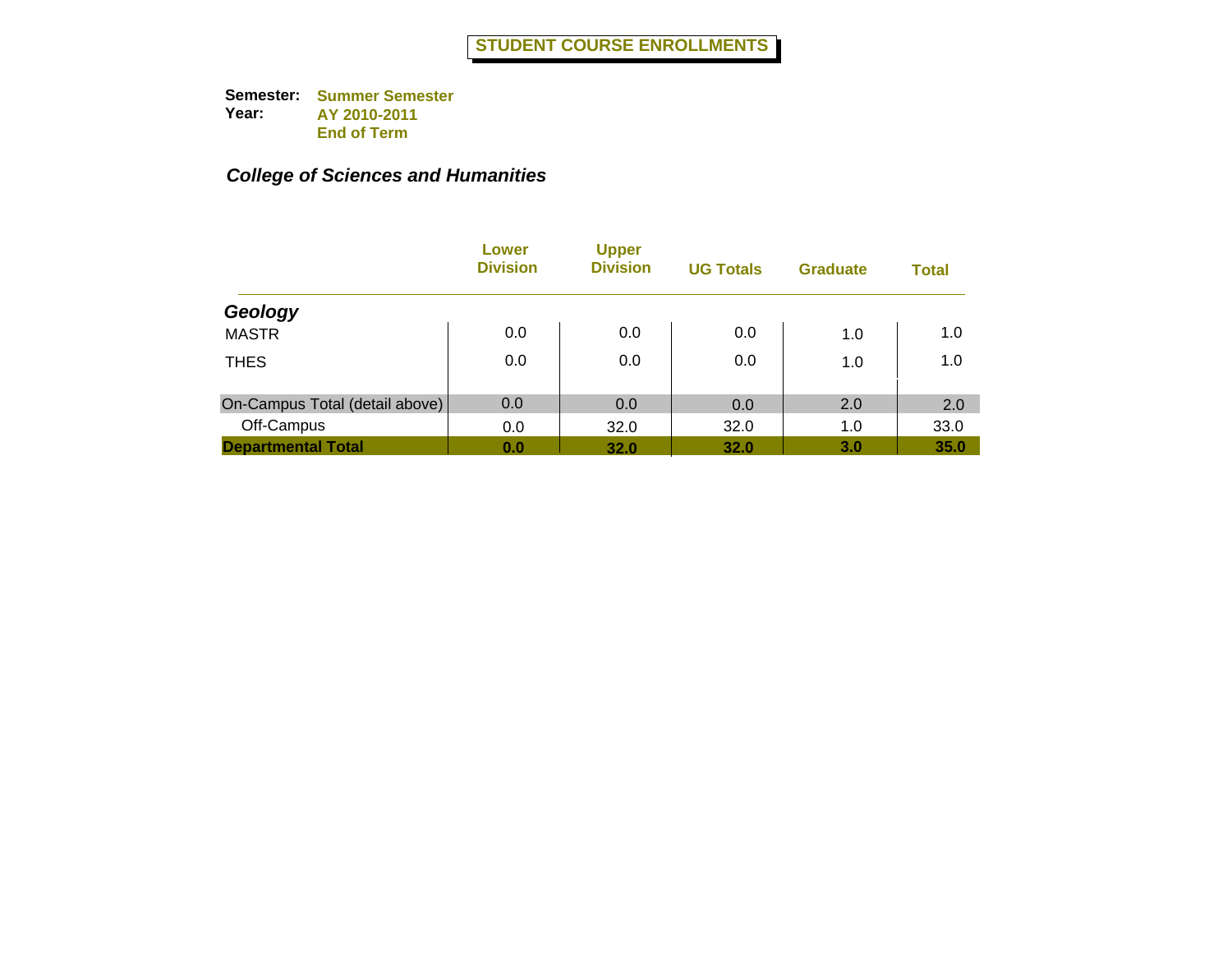|                                | Lower<br><b>Division</b> | <b>Upper</b><br><b>Division</b> | <b>UG Totals</b> | <b>Graduate</b> | <b>Total</b> |
|--------------------------------|--------------------------|---------------------------------|------------------|-----------------|--------------|
| Geology                        |                          |                                 |                  |                 |              |
| <b>MASTR</b>                   | 0.0                      | 0.0                             | 0.0              | 1.0             | 1.0          |
| <b>THES</b>                    | 0.0                      | 0.0                             | 0.0              | 1.0             | 1.0          |
| On-Campus Total (detail above) | 0.0                      | 0.0                             | 0.0              | 2.0             | 2.0          |
| Off-Campus                     | 0.0                      | 32.0                            | 32.0             | 1.0             | 33.0         |
| <b>Departmental Total</b>      | 0.0                      | 32.0                            | 32.0             | 3.0             | 35.0         |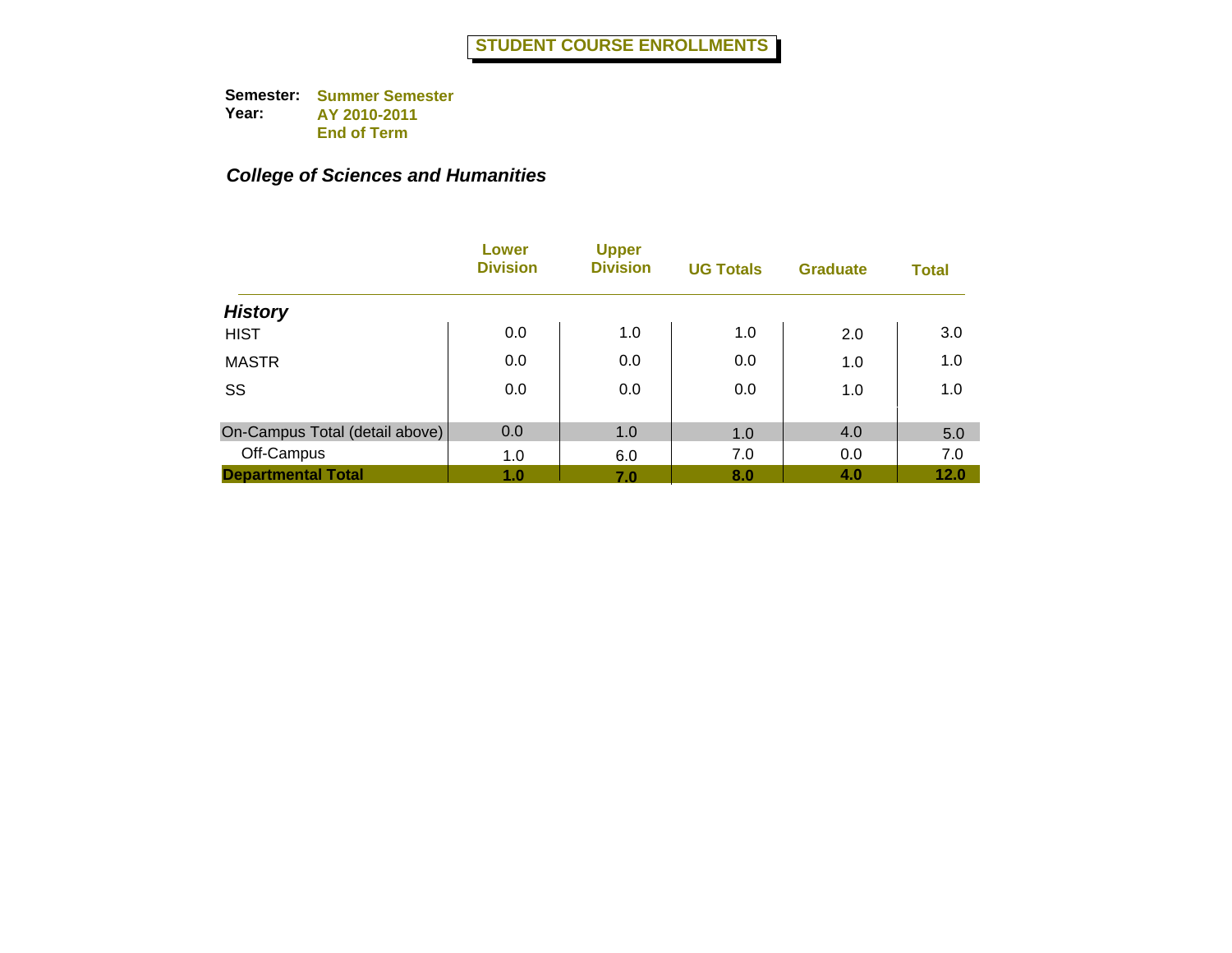|                                | Lower<br><b>Division</b> | <b>Upper</b><br><b>Division</b> | <b>UG Totals</b> | <b>Graduate</b> | <b>Total</b> |
|--------------------------------|--------------------------|---------------------------------|------------------|-----------------|--------------|
| <b>History</b>                 |                          |                                 |                  |                 |              |
| <b>HIST</b>                    | 0.0                      | 1.0                             | 1.0              | 2.0             | 3.0          |
| <b>MASTR</b>                   | 0.0                      | 0.0                             | 0.0              | 1.0             | 1.0          |
| SS                             | 0.0                      | 0.0                             | 0.0              | 1.0             | 1.0          |
| On-Campus Total (detail above) | 0.0                      | 1.0                             | 1.0              | 4.0             | 5.0          |
| Off-Campus                     | 1.0                      | 6.0                             | 7.0              | 0.0             | 7.0          |
| <b>Departmental Total</b>      | 1.0                      | 7.0                             | 8.0              | 4.0             | 12.0         |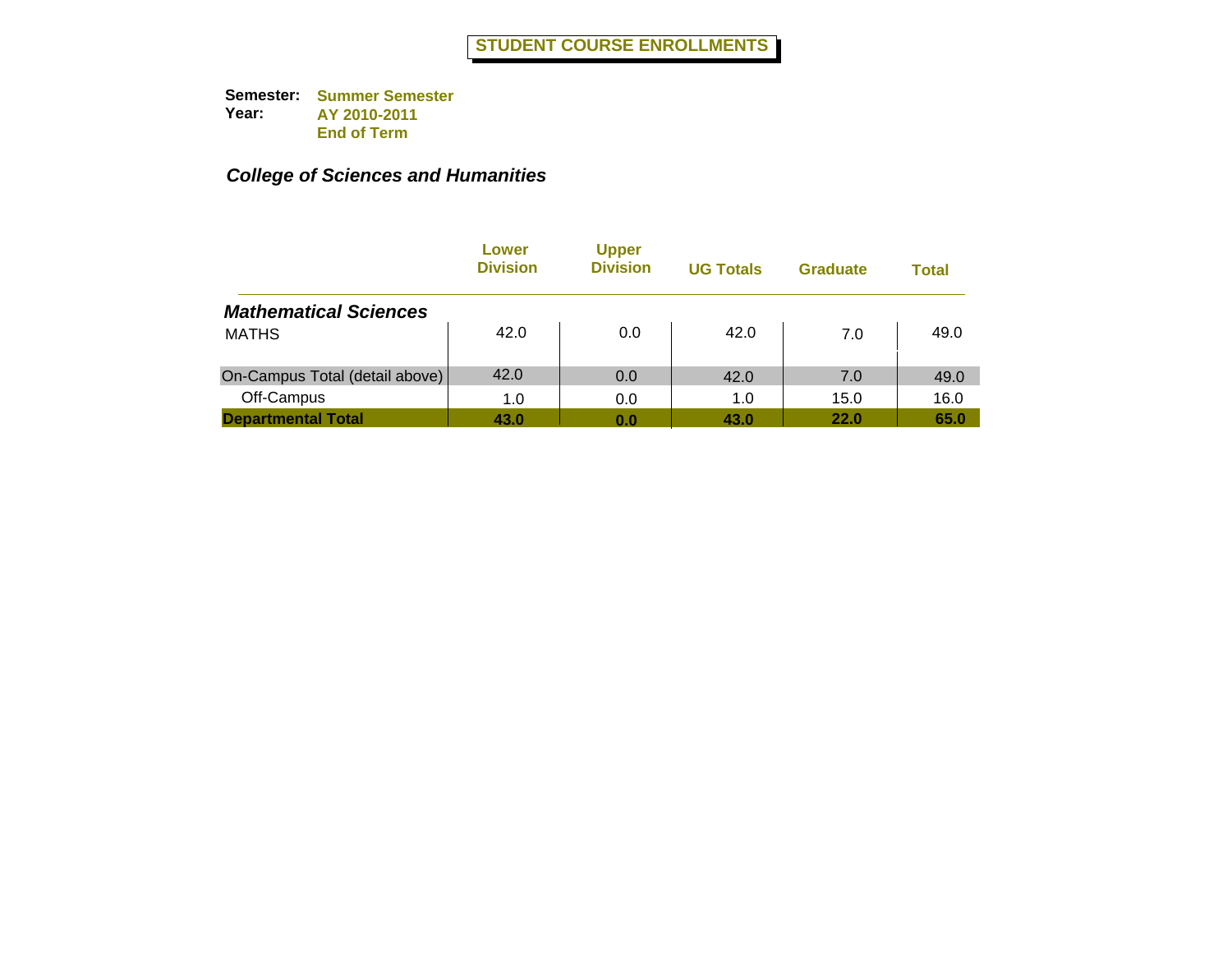|                                | Lower<br><b>Division</b> | <b>Upper</b><br><b>Division</b> | <b>UG Totals</b> | <b>Graduate</b> | Total |
|--------------------------------|--------------------------|---------------------------------|------------------|-----------------|-------|
| <b>Mathematical Sciences</b>   |                          |                                 |                  |                 |       |
| <b>MATHS</b>                   | 42.0                     | 0.0                             | 42.0             | 7.0             | 49.0  |
| On-Campus Total (detail above) | 42.0                     | 0.0                             | 42.0             | 7.0             | 49.0  |
| Off-Campus                     | 1.0                      | 0.0                             | 1.0              | 15.0            | 16.0  |
| <b>Departmental Total</b>      | 43.0                     | 0.0                             | 43.0             | <b>22.0</b>     | 65.0  |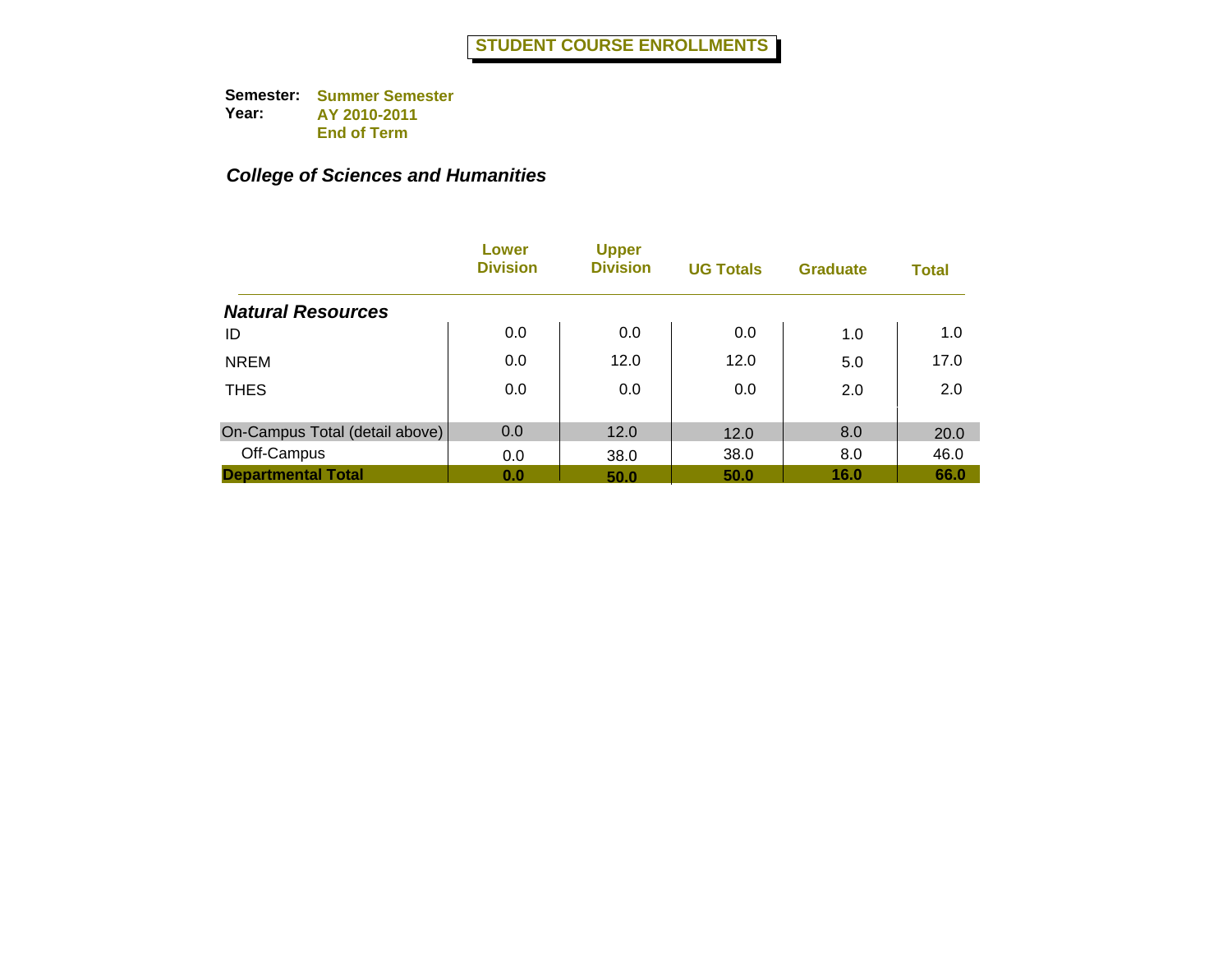|                                | Lower<br><b>Division</b> | <b>Upper</b><br><b>Division</b> | <b>UG Totals</b> | <b>Graduate</b> | <b>Total</b> |
|--------------------------------|--------------------------|---------------------------------|------------------|-----------------|--------------|
| <b>Natural Resources</b>       |                          |                                 |                  |                 |              |
| ID                             | 0.0                      | 0.0                             | 0.0              | 1.0             | 1.0          |
| <b>NREM</b>                    | 0.0                      | 12.0                            | 12.0             | 5.0             | 17.0         |
| <b>THES</b>                    | 0.0                      | 0.0                             | 0.0              | 2.0             | 2.0          |
| On-Campus Total (detail above) | 0.0                      | 12.0                            | 12.0             | 8.0             | 20.0         |
| Off-Campus                     | 0.0                      | 38.0                            | 38.0             | 8.0             | 46.0         |
| <b>Departmental Total</b>      | 0.0                      | 50.0                            | 50.0             | 16.0            | 66.0         |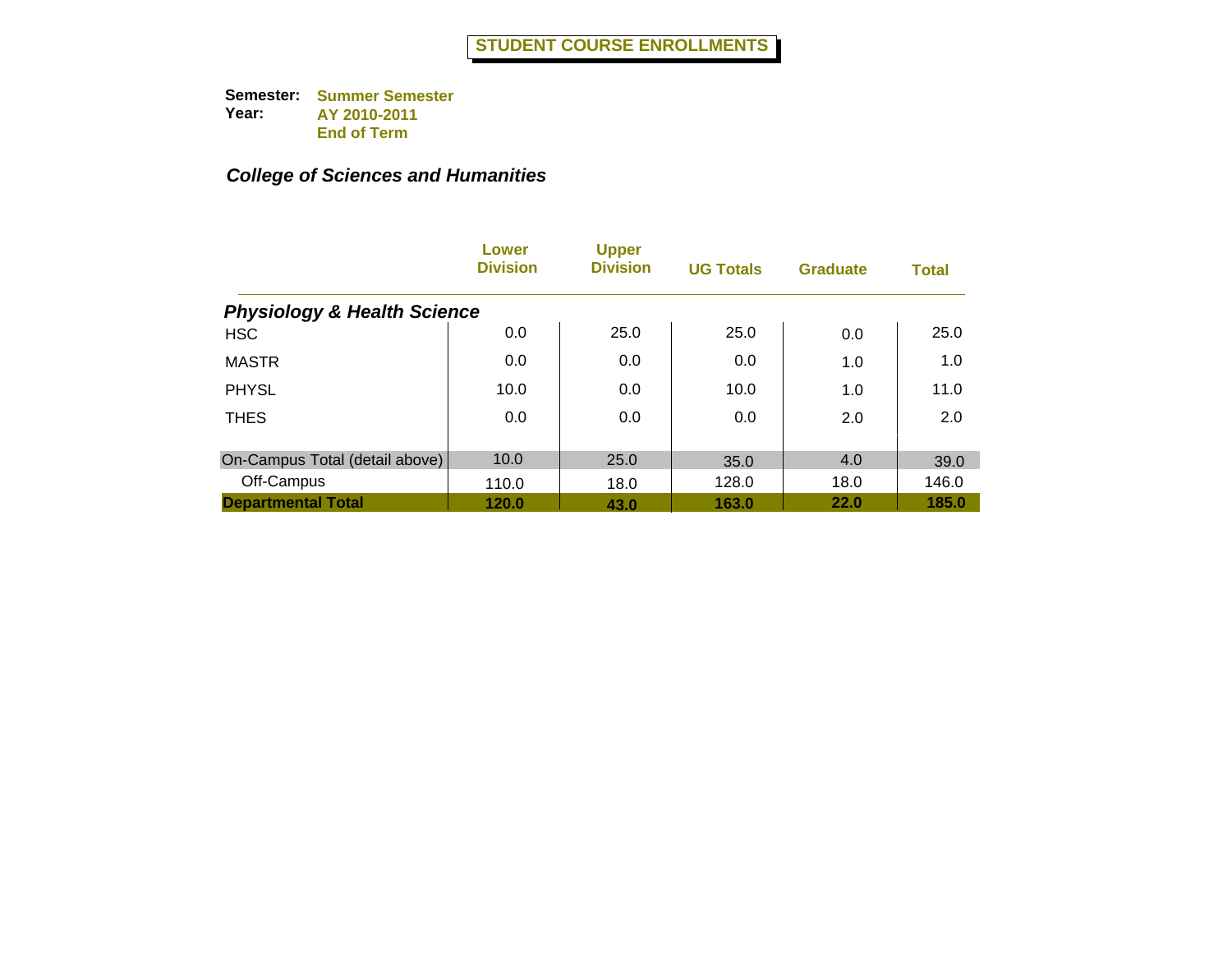|                                        | Lower<br><b>Division</b> | <b>Upper</b><br><b>Division</b> | <b>UG Totals</b> | <b>Graduate</b> | <b>Total</b> |
|----------------------------------------|--------------------------|---------------------------------|------------------|-----------------|--------------|
| <b>Physiology &amp; Health Science</b> |                          |                                 |                  |                 |              |
| <b>HSC</b>                             | 0.0                      | 25.0                            | 25.0             | 0.0             | 25.0         |
| <b>MASTR</b>                           | 0.0                      | 0.0                             | 0.0              | 1.0             | 1.0          |
| <b>PHYSL</b>                           | 10.0                     | 0.0                             | 10.0             | 1.0             | 11.0         |
| <b>THES</b>                            | 0.0                      | 0.0                             | 0.0              | 2.0             | 2.0          |
| On-Campus Total (detail above)         | 10.0                     | 25.0                            | 35.0             | 4.0             | 39.0         |
| Off-Campus                             | 110.0                    | 18.0                            | 128.0            | 18.0            | 146.0        |
| <b>Departmental Total</b>              | 120.0                    | 43.0                            | 163.0            | 22.0            | 185.0        |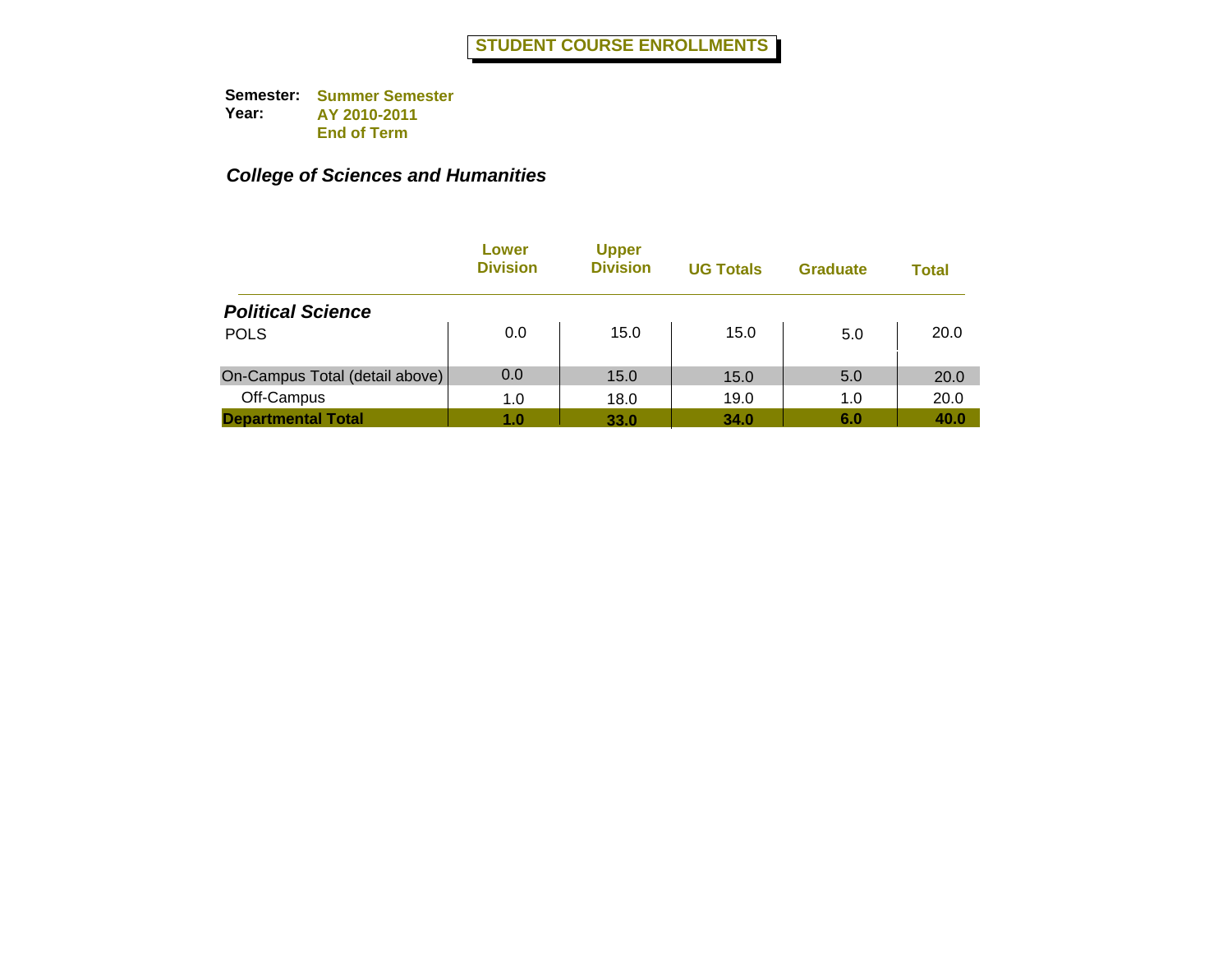|                                | Lower<br><b>Division</b> | <b>Upper</b><br><b>Division</b> | <b>UG Totals</b> | <b>Graduate</b> | Total |
|--------------------------------|--------------------------|---------------------------------|------------------|-----------------|-------|
| <b>Political Science</b>       |                          |                                 |                  |                 |       |
| <b>POLS</b>                    | 0.0                      | 15.0                            | 15.0             | 5.0             | 20.0  |
| On-Campus Total (detail above) | 0.0                      | 15.0                            | 15.0             | 5.0             | 20.0  |
| Off-Campus                     | 1.0                      | 18.0                            | 19.0             | 1.0             | 20.0  |
| <b>Departmental Total</b>      | 1.0                      | 33.0                            | 34.0             | 6.0             | 40.0  |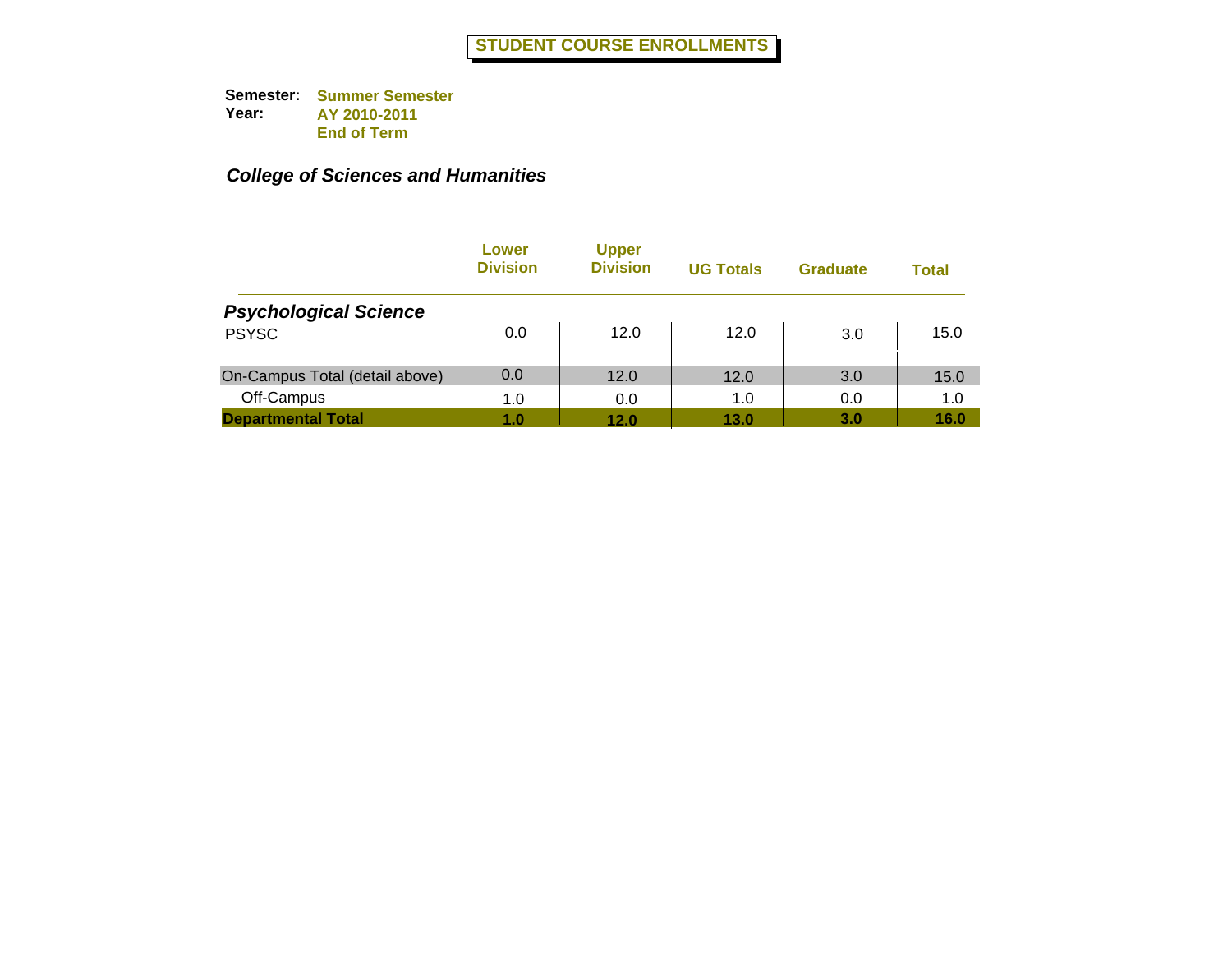|                                | Lower<br><b>Division</b> | <b>Upper</b><br><b>Division</b> | <b>UG Totals</b> | <b>Graduate</b> | Total |
|--------------------------------|--------------------------|---------------------------------|------------------|-----------------|-------|
| <b>Psychological Science</b>   |                          |                                 |                  |                 |       |
| <b>PSYSC</b>                   | 0.0                      | 12.0                            | 12.0             | 3.0             | 15.0  |
| On-Campus Total (detail above) | 0.0                      | 12.0                            | 12.0             | 3.0             | 15.0  |
| Off-Campus                     | 1.0                      | 0.0                             | 1.0              | 0.0             | 1.0   |
| <b>Departmental Total</b>      | 1.0                      | 12.0                            | 13.0             | 3.0             | 16.0  |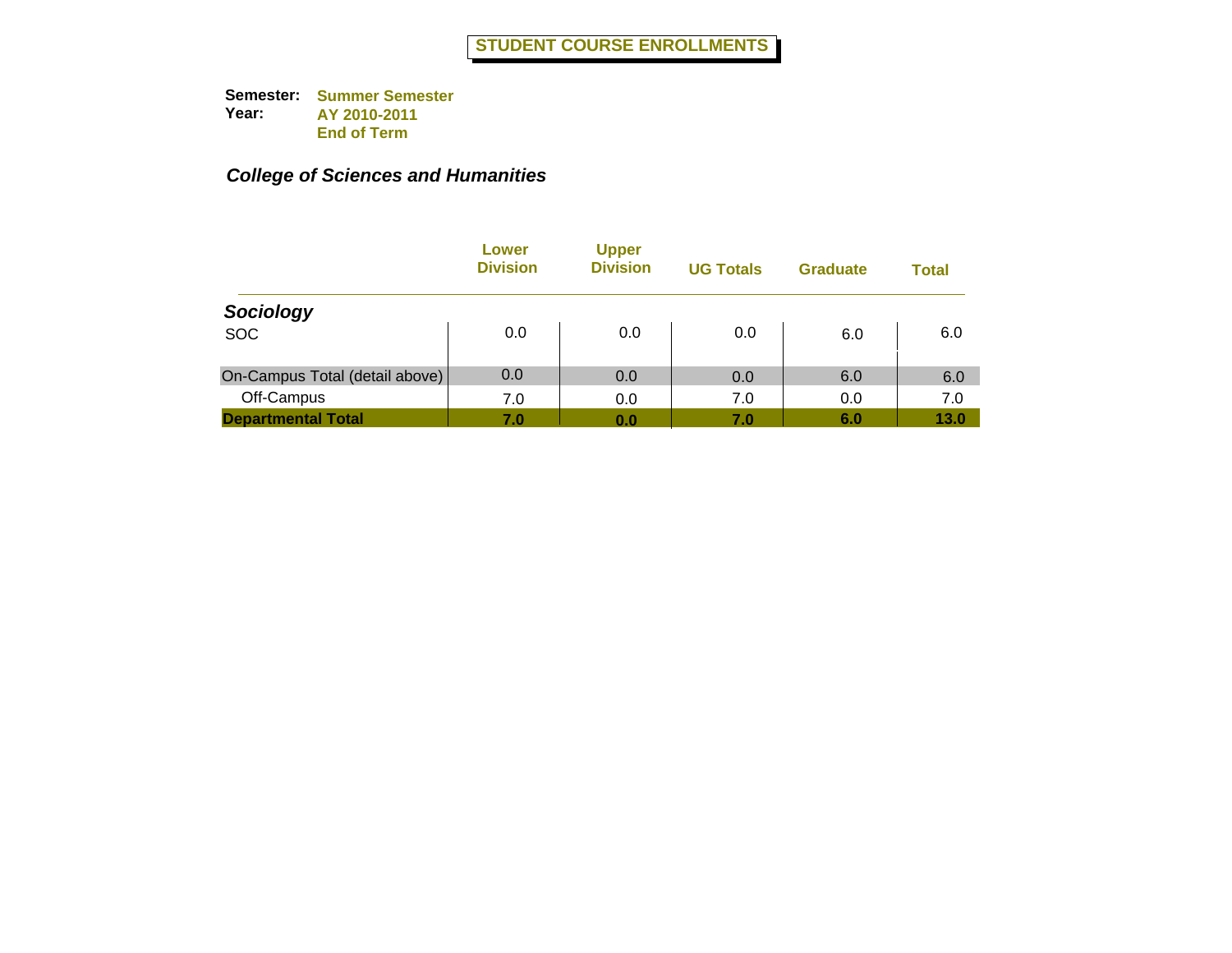|                                | Lower<br><b>Division</b> | <b>Upper</b><br><b>Division</b> | <b>UG Totals</b> | <b>Graduate</b> | Total |
|--------------------------------|--------------------------|---------------------------------|------------------|-----------------|-------|
| Sociology                      |                          |                                 |                  |                 |       |
| <b>SOC</b>                     | 0.0                      | 0.0                             | 0.0              | 6.0             | 6.0   |
| On-Campus Total (detail above) | 0.0                      | 0.0                             | 0.0              | 6.0             | 6.0   |
| Off-Campus                     | 7.0                      | 0.0                             | 7.0              | 0.0             | 7.0   |
| <b>Departmental Total</b>      | 7.0                      | 0.0                             | 7.0              | 6.0             | 13.0  |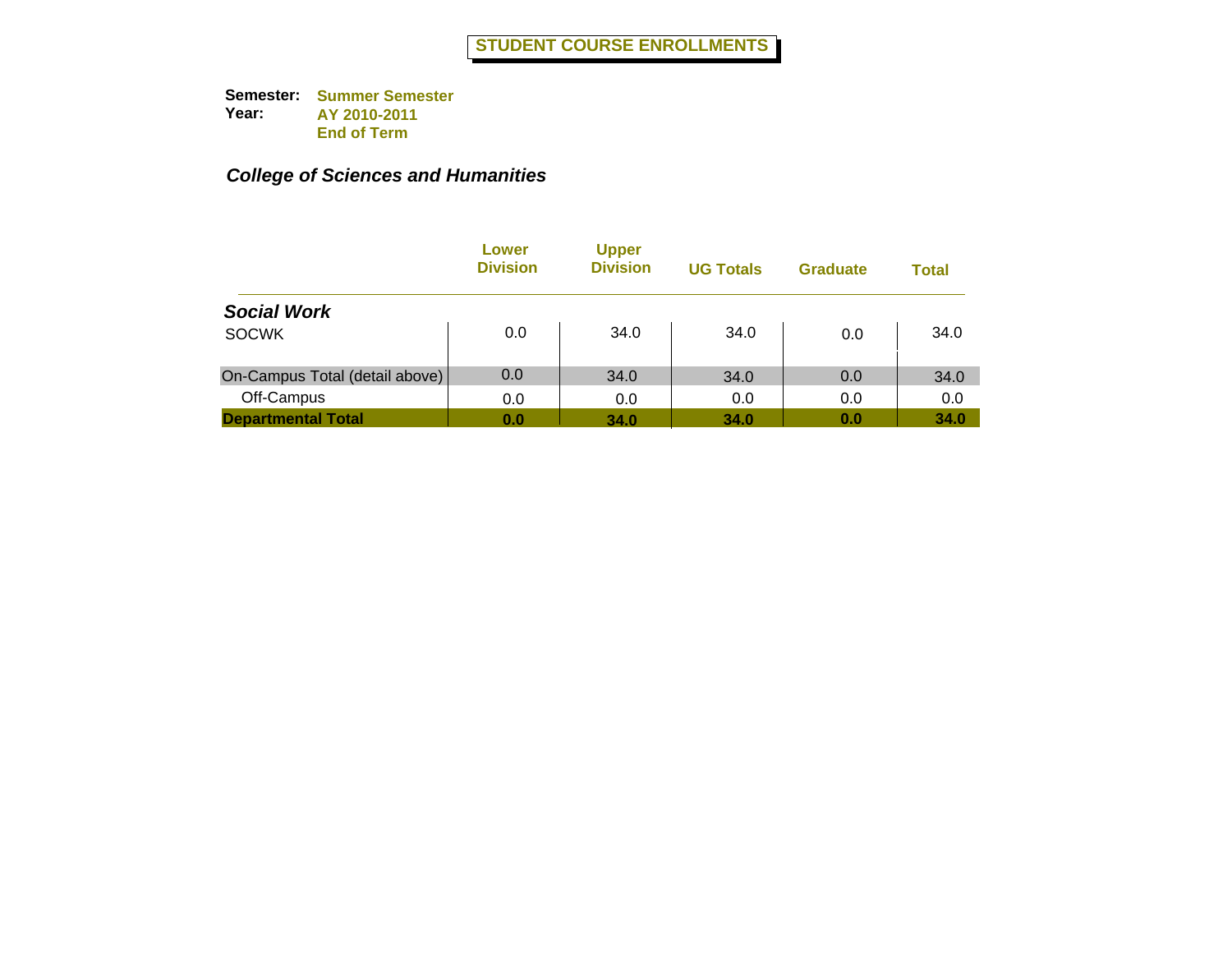|                                | Lower<br><b>Division</b> | <b>Upper</b><br><b>Division</b> | <b>UG Totals</b> | <b>Graduate</b> | <b>Total</b> |
|--------------------------------|--------------------------|---------------------------------|------------------|-----------------|--------------|
| <b>Social Work</b>             |                          |                                 |                  |                 |              |
| <b>SOCWK</b>                   | 0.0                      | 34.0                            | 34.0             | 0.0             | 34.0         |
| On-Campus Total (detail above) | 0.0                      | 34.0                            | 34.0             | 0.0             | 34.0         |
| Off-Campus                     | 0.0                      | 0.0                             | 0.0              | 0.0             | 0.0          |
| <b>Departmental Total</b>      | 0.0                      | 34.0                            | 34.0             | 0.0             | 34.0         |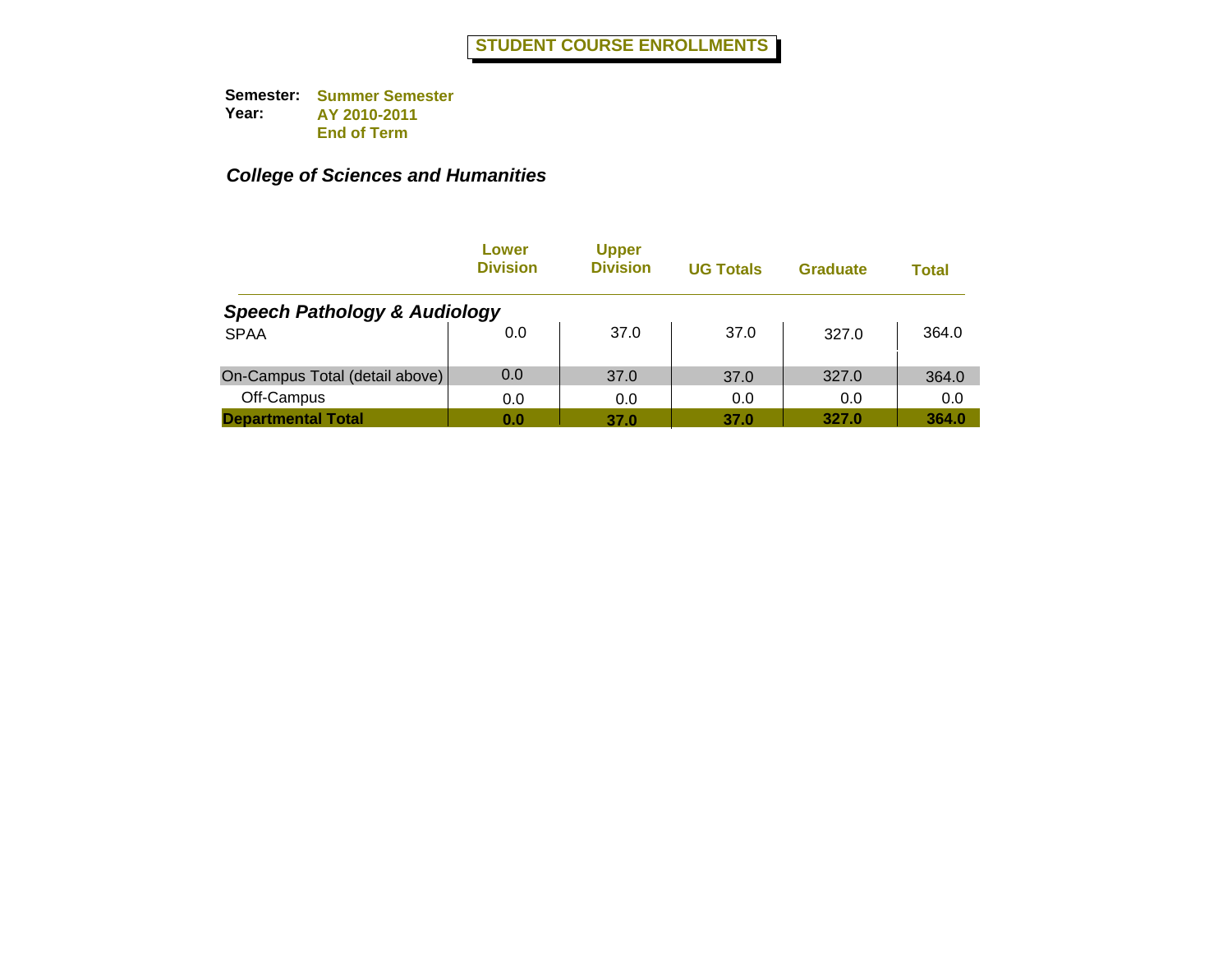|                                         | Lower<br><b>Division</b> | <b>Upper</b><br><b>Division</b> | <b>UG Totals</b> | <b>Graduate</b> | Total |  |  |  |
|-----------------------------------------|--------------------------|---------------------------------|------------------|-----------------|-------|--|--|--|
| <b>Speech Pathology &amp; Audiology</b> |                          |                                 |                  |                 |       |  |  |  |
| <b>SPAA</b>                             | 0.0                      | 37.0                            | 37.0             | 327.0           | 364.0 |  |  |  |
| On-Campus Total (detail above)          | 0.0                      | 37.0                            | 37.0             | 327.0           | 364.0 |  |  |  |
| Off-Campus                              | 0.0                      | 0.0                             | 0.0              | 0.0             | 0.0   |  |  |  |
| <b>Departmental Total</b>               | 0.0                      | 37.0                            | 37.0             | 327.0           | 364.0 |  |  |  |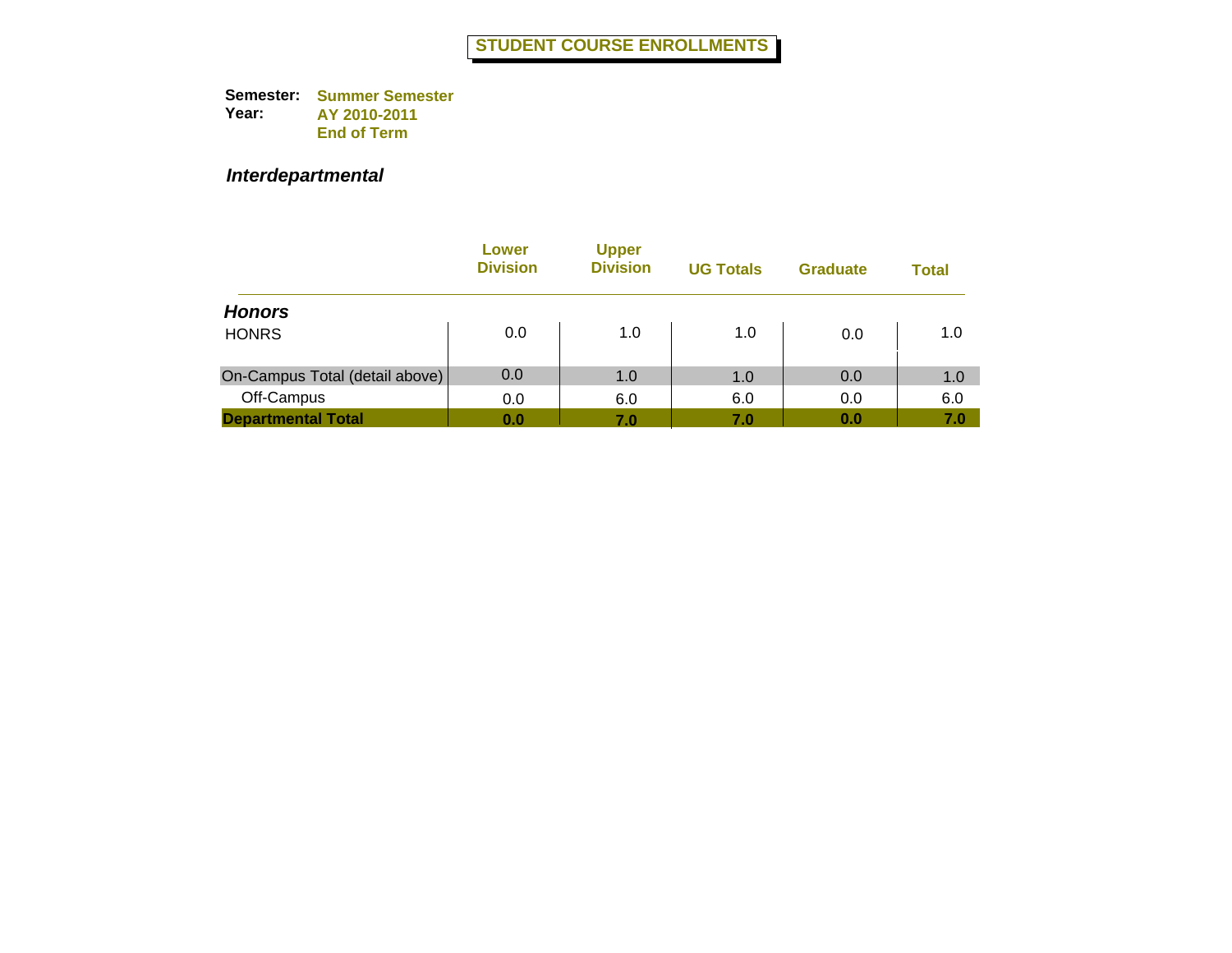#### *Interdepartmental*

|                                | Lower<br><b>Division</b> | <b>Upper</b><br><b>Division</b> | <b>UG Totals</b> | <b>Graduate</b> | <b>Total</b> |
|--------------------------------|--------------------------|---------------------------------|------------------|-----------------|--------------|
| <b>Honors</b>                  |                          |                                 |                  |                 |              |
| <b>HONRS</b>                   | 0.0                      | 1.0                             | 1.0              | 0.0             | 1.0          |
| On-Campus Total (detail above) | 0.0                      | 1.0                             | 1.0              | 0.0             | 1.0          |
| Off-Campus                     | 0.0                      | 6.0                             | 6.0              | 0.0             | 6.0          |
| <b>Departmental Total</b>      | 0.0                      | 7.0                             | 7.0              | 0.0             | 7.0          |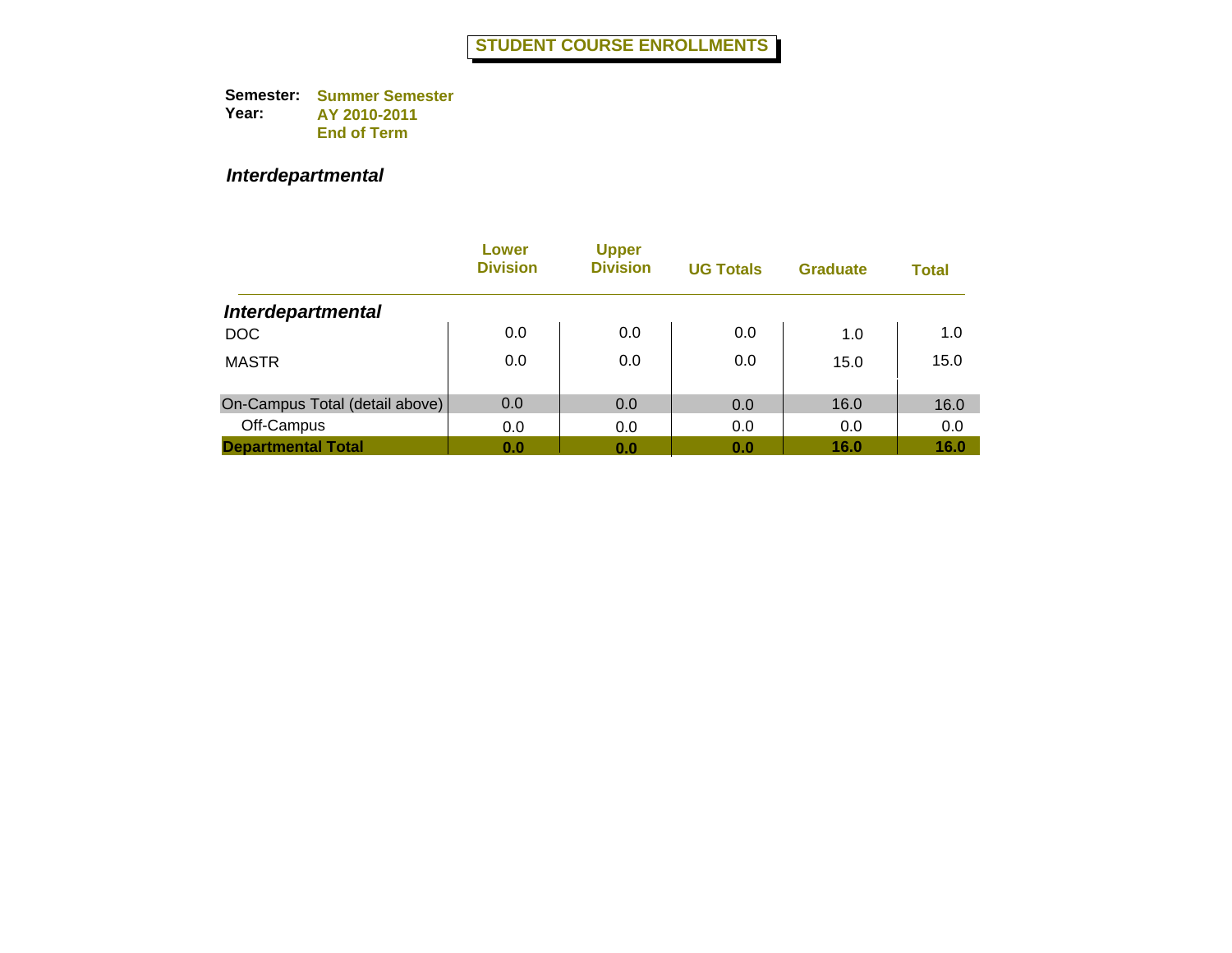#### *Interdepartmental*

|                                | Lower<br><b>Division</b> | <b>Upper</b><br><b>Division</b> | <b>UG Totals</b> | <b>Graduate</b> | <b>Total</b> |
|--------------------------------|--------------------------|---------------------------------|------------------|-----------------|--------------|
| <b>Interdepartmental</b>       |                          |                                 |                  |                 |              |
| <b>DOC</b>                     | 0.0                      | 0.0                             | 0.0              | 1.0             | 1.0          |
| <b>MASTR</b>                   | 0.0                      | 0.0                             | 0.0              | 15.0            | 15.0         |
| On-Campus Total (detail above) | 0.0                      | 0.0                             | 0.0              | 16.0            | 16.0         |
| Off-Campus                     | 0.0                      | 0.0                             | 0.0              | 0.0             | 0.0          |
| <b>Departmental Total</b>      | 0.0                      | 0.0                             | 0.0              | 16.0            | 16.0         |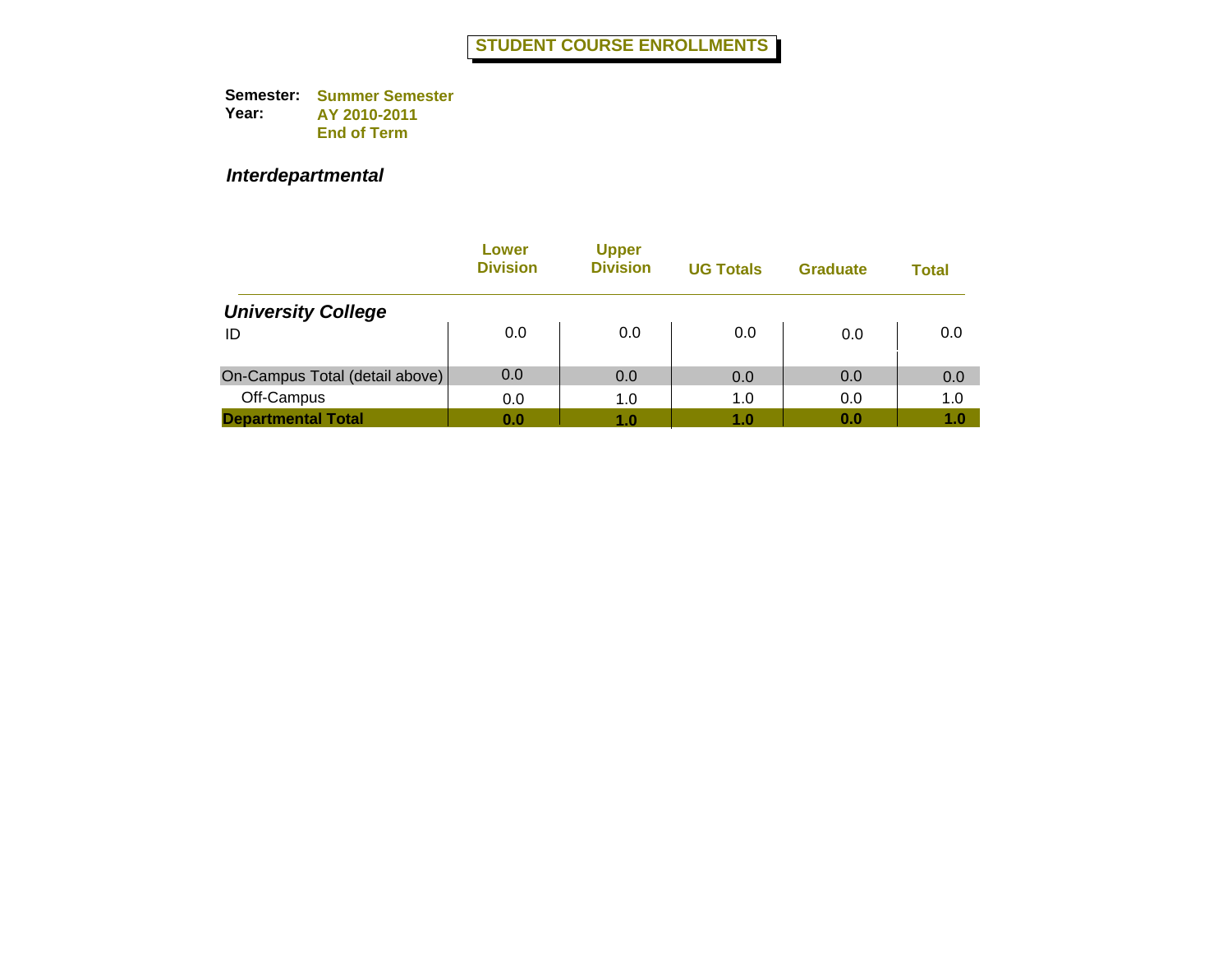#### *Interdepartmental*

|                                | Lower<br><b>Division</b> | <b>Upper</b><br><b>Division</b> | <b>UG Totals</b> | <b>Graduate</b> | <b>Total</b> |
|--------------------------------|--------------------------|---------------------------------|------------------|-----------------|--------------|
| <b>University College</b>      |                          |                                 |                  |                 |              |
| ID                             | 0.0                      | 0.0                             | 0.0              | 0.0             | 0.0          |
| On-Campus Total (detail above) | 0.0                      | 0.0                             | 0.0              | 0.0             | 0.0          |
| Off-Campus                     | 0.0                      | 1.0                             | 1.0              | 0.0             | 1.0          |
| <b>Departmental Total</b>      | 0.0                      | 1.0                             | 1.0              | 0.0             | 1.0          |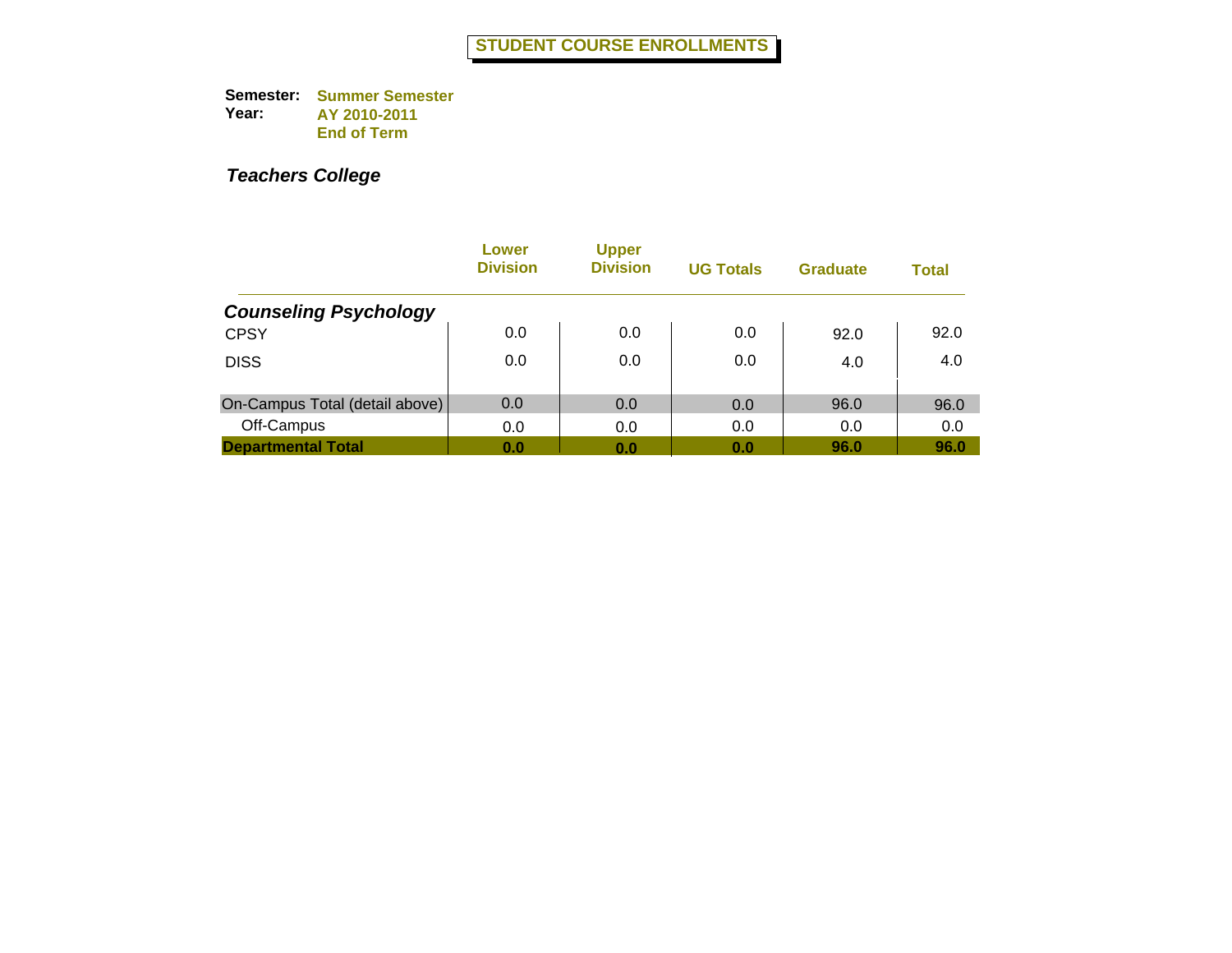|                                | Lower<br><b>Division</b> | <b>Upper</b><br><b>Division</b> | <b>UG Totals</b> | <b>Graduate</b> | <b>Total</b> |
|--------------------------------|--------------------------|---------------------------------|------------------|-----------------|--------------|
| <b>Counseling Psychology</b>   |                          |                                 |                  |                 |              |
| <b>CPSY</b>                    | 0.0                      | 0.0                             | 0.0              | 92.0            | 92.0         |
| <b>DISS</b>                    | 0.0                      | 0.0                             | 0.0              | 4.0             | 4.0          |
| On-Campus Total (detail above) | 0.0                      | 0.0                             | 0.0              | 96.0            | 96.0         |
| Off-Campus                     | 0.0                      | 0.0                             | 0.0              | 0.0             | 0.0          |
| <b>Departmental Total</b>      | 0.0                      | 0.0                             | 0.0              | 96.0            | 96.0         |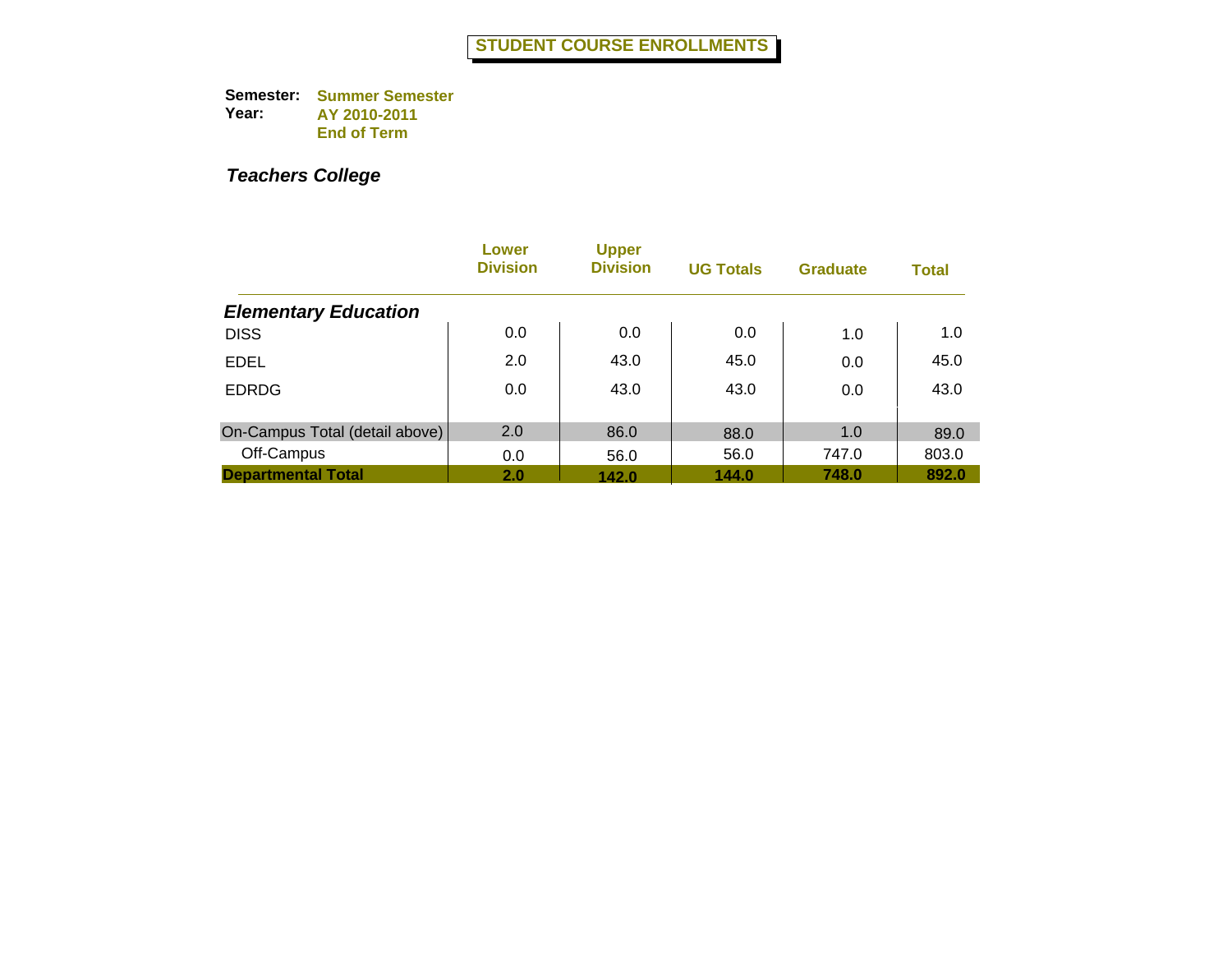|                                | Lower<br><b>Division</b> | <b>Upper</b><br><b>Division</b> | <b>UG Totals</b> | <b>Graduate</b> | <b>Total</b> |
|--------------------------------|--------------------------|---------------------------------|------------------|-----------------|--------------|
| <b>Elementary Education</b>    |                          |                                 |                  |                 |              |
| <b>DISS</b>                    | 0.0                      | 0.0                             | 0.0              | 1.0             | 1.0          |
| <b>EDEL</b>                    | 2.0                      | 43.0                            | 45.0             | 0.0             | 45.0         |
| <b>EDRDG</b>                   | 0.0                      | 43.0                            | 43.0             | 0.0             | 43.0         |
| On-Campus Total (detail above) | 2.0                      | 86.0                            | 88.0             | 1.0             | 89.0         |
| Off-Campus                     | 0.0                      | 56.0                            | 56.0             | 747.0           | 803.0        |
| <b>Departmental Total</b>      | 2.0                      | 142.0                           | 144.0            | 748.0           | 892.0        |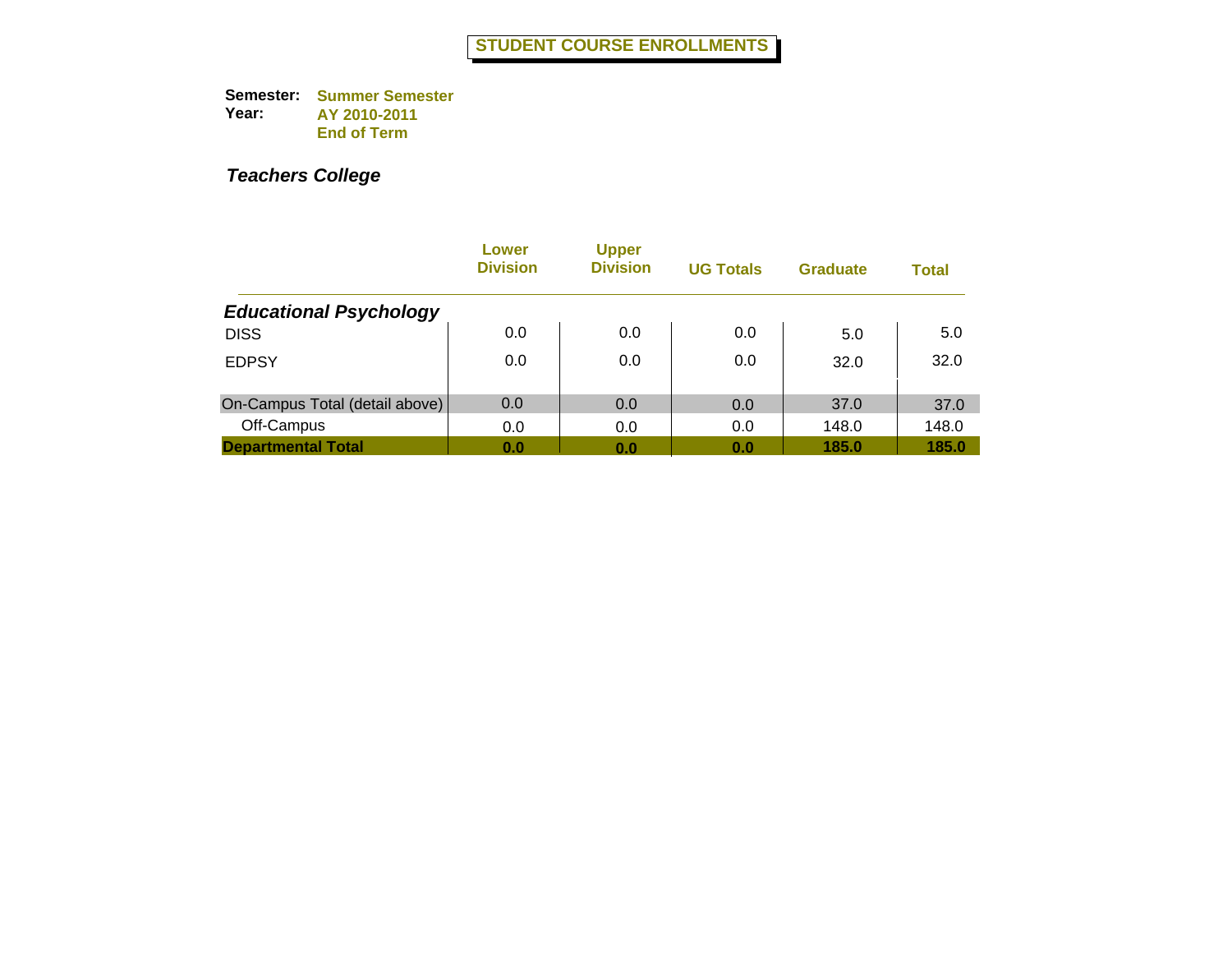|                                | Lower<br><b>Division</b> | <b>Upper</b><br><b>Division</b> | <b>UG Totals</b> | <b>Graduate</b> | <b>Total</b> |
|--------------------------------|--------------------------|---------------------------------|------------------|-----------------|--------------|
| <b>Educational Psychology</b>  |                          |                                 |                  |                 |              |
| <b>DISS</b>                    | 0.0                      | 0.0                             | 0.0              | 5.0             | 5.0          |
| <b>EDPSY</b>                   | 0.0                      | 0.0                             | 0.0              | 32.0            | 32.0         |
| On-Campus Total (detail above) | 0.0                      | 0.0                             | 0.0              | 37.0            | 37.0         |
| Off-Campus                     | 0.0                      | 0.0                             | 0.0              | 148.0           | 148.0        |
| <b>Departmental Total</b>      | 0.0                      | 0.0                             | 0.0              | 185.0           | 185.0        |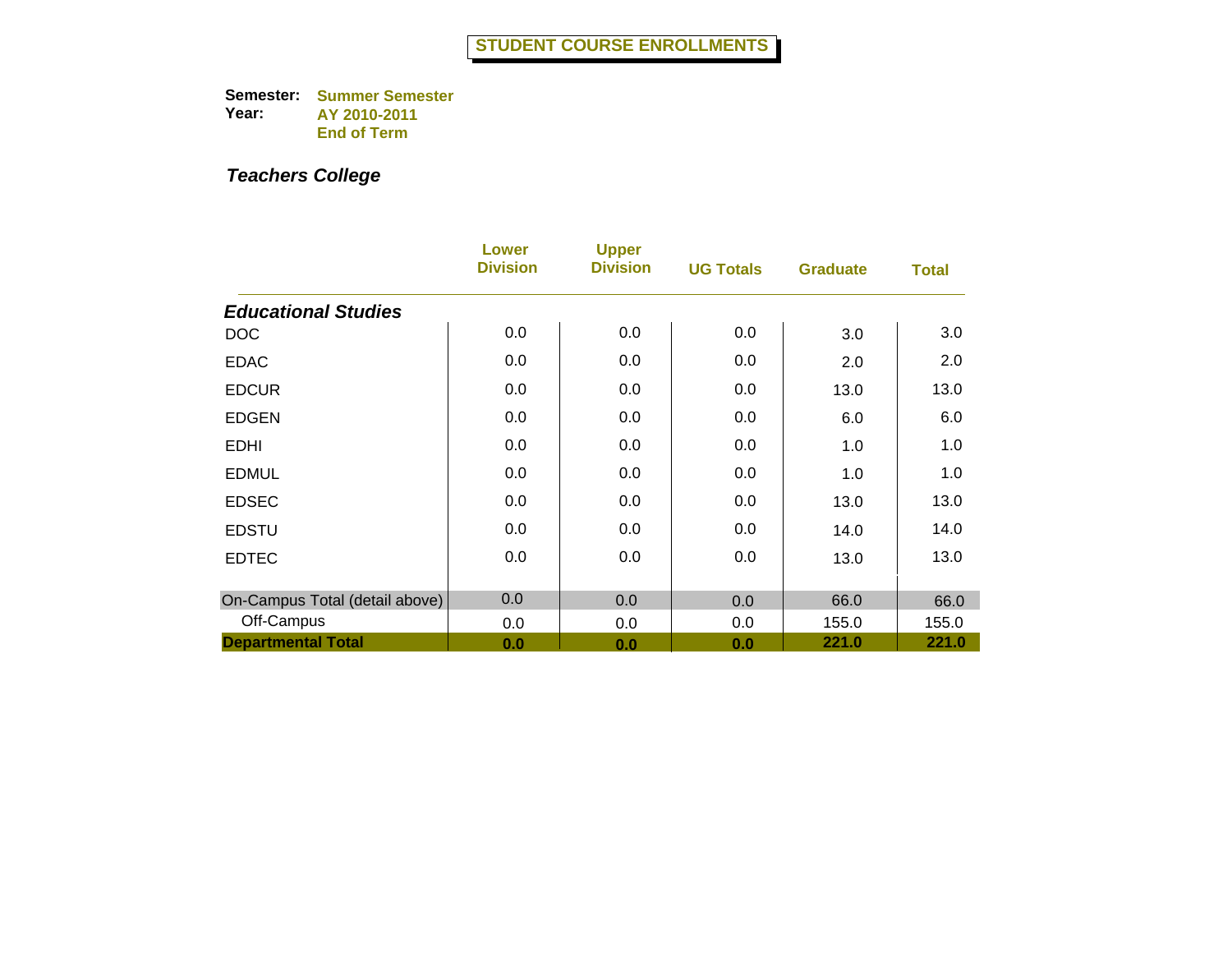|                                | Lower<br><b>Division</b> | <b>Upper</b><br><b>Division</b> | <b>UG Totals</b> | <b>Graduate</b> | <b>Total</b> |
|--------------------------------|--------------------------|---------------------------------|------------------|-----------------|--------------|
| <b>Educational Studies</b>     |                          |                                 |                  |                 |              |
| <b>DOC</b>                     | 0.0                      | 0.0                             | 0.0              | 3.0             | 3.0          |
| <b>EDAC</b>                    | 0.0                      | 0.0                             | 0.0              | 2.0             | 2.0          |
| <b>EDCUR</b>                   | 0.0                      | 0.0                             | 0.0              | 13.0            | 13.0         |
| <b>EDGEN</b>                   | 0.0                      | 0.0                             | 0.0              | 6.0             | 6.0          |
| <b>EDHI</b>                    | 0.0                      | 0.0                             | 0.0              | 1.0             | 1.0          |
| <b>EDMUL</b>                   | 0.0                      | 0.0                             | 0.0              | 1.0             | 1.0          |
| <b>EDSEC</b>                   | 0.0                      | 0.0                             | 0.0              | 13.0            | 13.0         |
| <b>EDSTU</b>                   | 0.0                      | 0.0                             | 0.0              | 14.0            | 14.0         |
| <b>EDTEC</b>                   | 0.0                      | 0.0                             | 0.0              | 13.0            | 13.0         |
| On-Campus Total (detail above) | 0.0                      | 0.0                             | 0.0              | 66.0            | 66.0         |
| Off-Campus                     | 0.0                      | 0.0                             | 0.0              | 155.0           | 155.0        |
| <b>Departmental Total</b>      | 0.0                      | 0.0                             | 0.0              | 221.0           | 221.0        |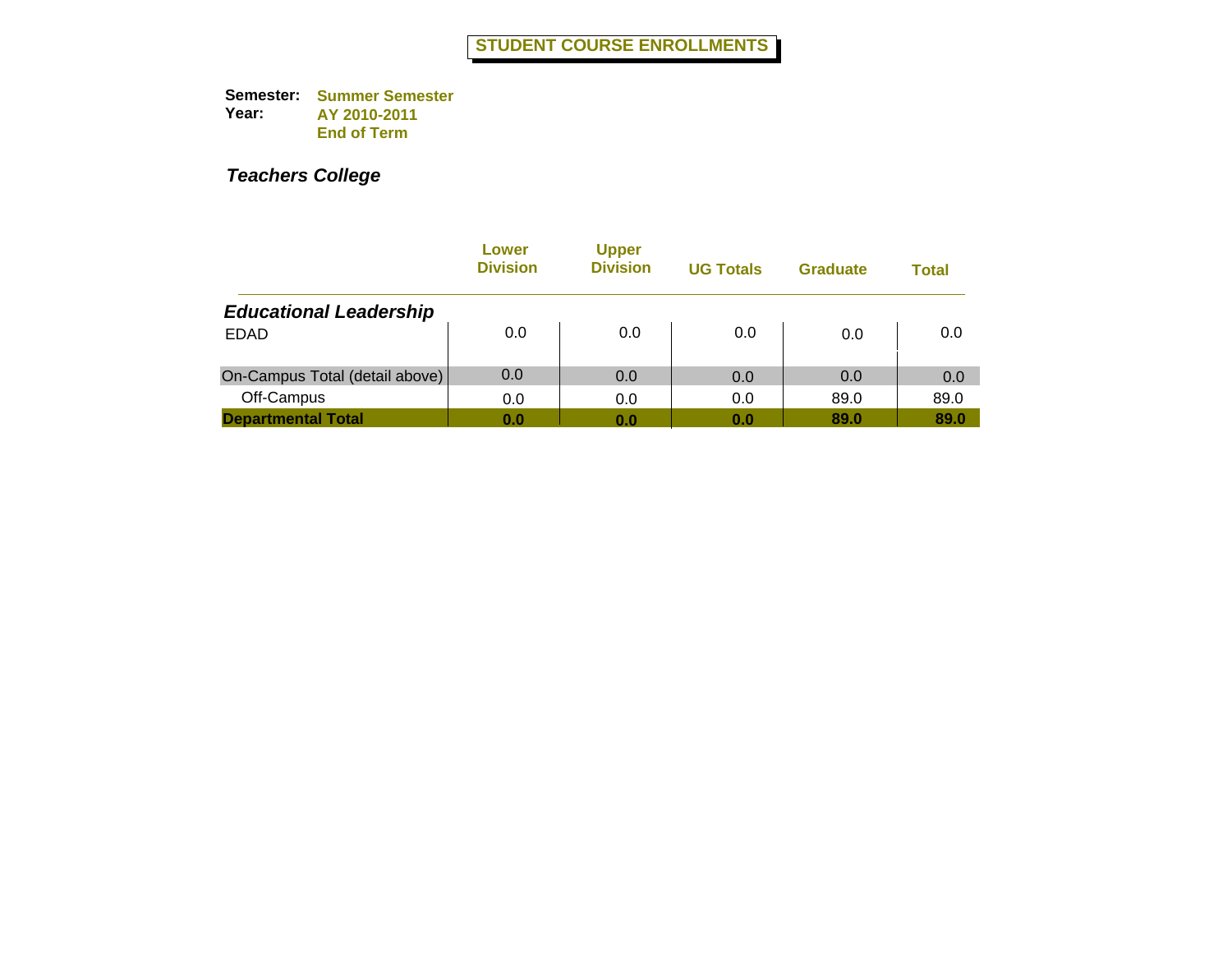|                                | Lower<br><b>Division</b> | <b>Upper</b><br><b>Division</b> | <b>UG Totals</b> | <b>Graduate</b> | Total |
|--------------------------------|--------------------------|---------------------------------|------------------|-----------------|-------|
| <b>Educational Leadership</b>  |                          |                                 |                  |                 |       |
| <b>EDAD</b>                    | 0.0                      | 0.0                             | 0.0              | 0.0             | 0.0   |
| On-Campus Total (detail above) | 0.0                      | 0.0                             | 0.0              | 0.0             | 0.0   |
| Off-Campus                     | 0.0                      | 0.0                             | 0.0              | 89.0            | 89.0  |
| <b>Departmental Total</b>      | 0.0                      | 0.0                             | 0.0              | 89.0            | 89.0  |